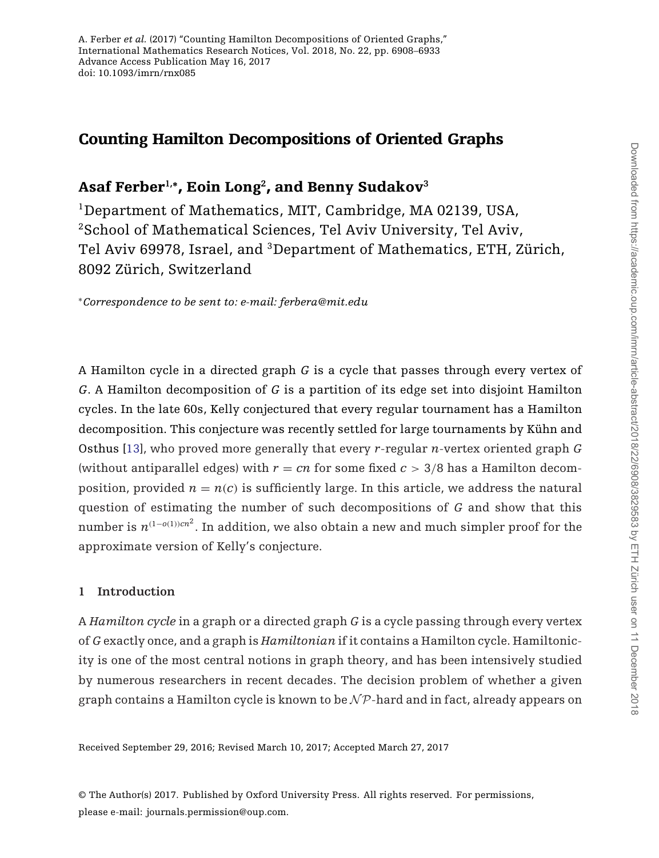# Counting Hamilton Decompositions of Oriented Graphs

# Asaf Ferber**1,∗**, Eoin Long**<sup>2</sup>**, and Benny Sudakov**<sup>3</sup>**

<sup>1</sup>Department of Mathematics, MIT, Cambridge, MA 02139, USA, <sup>2</sup>School of Mathematical Sciences, Tel Aviv University, Tel Aviv, Tel Aviv 69978, Israel, and 3Department of Mathematics, ETH, Zürich, 8092 Zürich, Switzerland

<sup>∗</sup>*Correspondence to be sent to: e-mail: ferbera@mit.edu*

A Hamilton cycle in a directed graph *G* is a cycle that passes through every vertex of *G*. A Hamilton decomposition of *G* is a partition of its edge set into disjoint Hamilton cycles. In the late 60s, Kelly conjectured that every regular tournament has a Hamilton decomposition. This conjecture was recently settled for large tournaments by Kühn and Osthus [\[13\]](#page-24-0), who proved more generally that every *r*-regular *n*-vertex oriented graph *G* (without antiparallel edges) with  $r = cn$  for some fixed  $c > 3/8$  has a Hamilton decomposition, provided  $n = n(c)$  is sufficiently large. In this article, we address the natural question of estimating the number of such decompositions of *G* and show that this number is  $n^{(1-o(1))cn^2}.$  In addition, we also obtain a new and much simpler proof for the approximate version of Kelly's conjecture.

# **1 Introduction**

A *Hamilton cycle* in a graph or a directed graph *G* is a cycle passing through every vertex of *G* exactly once, and a graph is *Hamiltonian* if it contains a Hamilton cycle. Hamiltonicity is one of the most central notions in graph theory, and has been intensively studied by numerous researchers in recent decades. The decision problem of whether a given graph contains a Hamilton cycle is known to be  $N\mathcal{P}$ -hard and in fact, already appears on

Received September 29, 2016; Revised March 10, 2017; Accepted March 27, 2017

© The Author(s) 2017. Published by Oxford University Press. All rights reserved. For permissions, please e-mail: journals.permission@oup.com.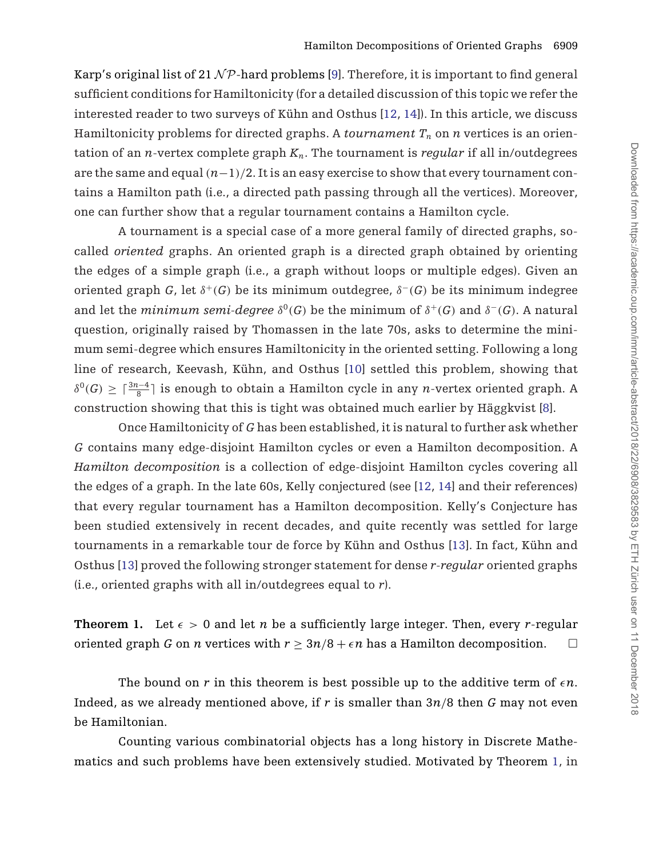Karp's original list of 21  $\mathcal{NP}$ -hard problems [\[9\]](#page-24-0). Therefore, it is important to find general sufficient conditions for Hamiltonicity (for a detailed discussion of this topic we refer the interested reader to two surveys of Kühn and Osthus [\[12,](#page-24-0) [14](#page-24-0)]). In this article, we discuss Hamiltonicity problems for directed graphs. A *tournament*  $T_n$  on  $n$  vertices is an orientation of an *n*-vertex complete graph  $K_n$ . The tournament is *regular* if all in/outdegrees are the same and equal  $(n-1)/2$ . It is an easy exercise to show that every tournament contains a Hamilton path (i.e., a directed path passing through all the vertices). Moreover, one can further show that a regular tournament contains a Hamilton cycle.

A tournament is a special case of a more general family of directed graphs, socalled *oriented* graphs. An oriented graph is a directed graph obtained by orienting the edges of a simple graph (i.e., a graph without loops or multiple edges). Given an oriented graph *G*, let  $\delta^+(G)$  be its minimum outdegree,  $\delta^-(G)$  be its minimum indegree and let the *minimum semi-degree*  $\delta^{0}(G)$  be the minimum of  $\delta^{+}(G)$  and  $\delta^{-}(G)$ . A natural question, originally raised by Thomassen in the late 70s, asks to determine the minimum semi-degree which ensures Hamiltonicity in the oriented setting. Following a long line of research, Keevash, Kühn, and Osthus [\[10](#page-24-0)] settled this problem, showing that  $δ<sup>0</sup>(G) ≥ \lceil \frac{3n-4}{8} \rceil$  is enough to obtain a Hamilton cycle in any *n*-vertex oriented graph. A construction showing that this is tight was obtained much earlier by Häggkvist [\[8\]](#page-24-0).

Once Hamiltonicity of *G* has been established, it is natural to further ask whether *G* contains many edge-disjoint Hamilton cycles or even a Hamilton decomposition. A *Hamilton decomposition* is a collection of edge-disjoint Hamilton cycles covering all the edges of a graph. In the late 60s, Kelly conjectured (see [\[12,](#page-24-0) [14](#page-24-0)] and their references) that every regular tournament has a Hamilton decomposition. Kelly's Conjecture has been studied extensively in recent decades, and quite recently was settled for large tournaments in a remarkable tour de force by Kühn and Osthus [\[13\]](#page-24-0). In fact, Kühn and Osthus [\[13](#page-24-0)] proved the following stronger statement for dense *r-regular* oriented graphs (i.e., oriented graphs with all in/outdegrees equal to *r*).

**Theorem 1.** Let  $\epsilon > 0$  and let *n* be a sufficiently large integer. Then, every *r*-regular oriented graph *G* on *n* vertices with  $r \geq 3n/8 + \epsilon n$  has a Hamilton decomposition.  $\Box$ 

The bound on  $r$  in this theorem is best possible up to the additive term of  $\epsilon n$ . Indeed, as we already mentioned above, if *r* is smaller than 3*n*/8 then *G* may not even be Hamiltonian.

Counting various combinatorial objects has a long history in Discrete Mathematics and such problems have been extensively studied. Motivated by Theorem 1, in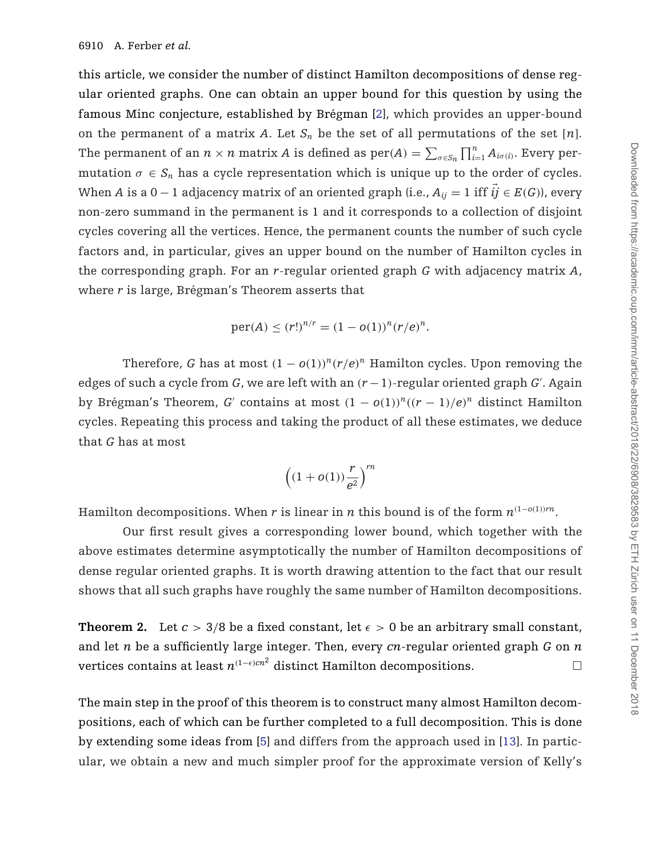<span id="page-2-0"></span>this article, we consider the number of distinct Hamilton decompositions of dense regular oriented graphs. One can obtain an upper bound for this question by using the famous Minc conjecture, established by Brégman [\[2\]](#page-24-0), which provides an upper-bound on the permanent of a matrix *A*. Let  $S_n$  be the set of all permutations of the set [*n*]. The permanent of an  $n \times n$  matrix *A* is defined as  $\text{per}(A) = \sum_{\sigma \in S_n} \prod_{i=1}^n A_{i\sigma(i)}$ . Every permutation  $\sigma \in S_n$  has a cycle representation which is unique up to the order of cycles. When *A* is a 0 − 1 adjacency matrix of an oriented graph (i.e.,  $A_{ii} = 1$  iff  $\vec{ij} \in E(G)$ ), every non-zero summand in the permanent is 1 and it corresponds to a collection of disjoint cycles covering all the vertices. Hence, the permanent counts the number of such cycle factors and, in particular, gives an upper bound on the number of Hamilton cycles in the corresponding graph. For an *r*-regular oriented graph *G* with adjacency matrix *A*, where *r* is large, Brégman's Theorem asserts that

$$
per(A) \le (r!)^{n/r} = (1 - o(1))^n (r/e)^n.
$$

Therefore, *G* has at most  $(1 - o(1))^{n} (r/e)^{n}$  Hamilton cycles. Upon removing the edges of such a cycle from *G*, we are left with an  $(r-1)$ -regular oriented graph *G'*. Again by Brégman's Theorem, *G*<sup>'</sup> contains at most  $(1 - o(1))^n((r - 1)/e)^n$  distinct Hamilton cycles. Repeating this process and taking the product of all these estimates, we deduce that *G* has at most

$$
\left((1+o(1))\frac{r}{e^2}\right)^{rn}
$$

Hamilton decompositions. When *r* is linear in *n* this bound is of the form  $n^{(1-o(1))rn}$ .

Our first result gives a corresponding lower bound, which together with the above estimates determine asymptotically the number of Hamilton decompositions of dense regular oriented graphs. It is worth drawing attention to the fact that our result shows that all such graphs have roughly the same number of Hamilton decompositions.

**Theorem 2.** Let  $c > 3/8$  be a fixed constant, let  $\epsilon > 0$  be an arbitrary small constant, and let *n* be a sufficiently large integer. Then, every *cn*-regular oriented graph *G* on *n* vertices contains at least  $n^{(1-\epsilon)cn^2}$  distinct Hamilton decompositions.  $\Box$ 

The main step in the proof of this theorem is to construct many almost Hamilton decompositions, each of which can be further completed to a full decomposition. This is done by extending some ideas from [\[5\]](#page-24-0) and differs from the approach used in [\[13\]](#page-24-0). In particular, we obtain a new and much simpler proof for the approximate version of Kelly's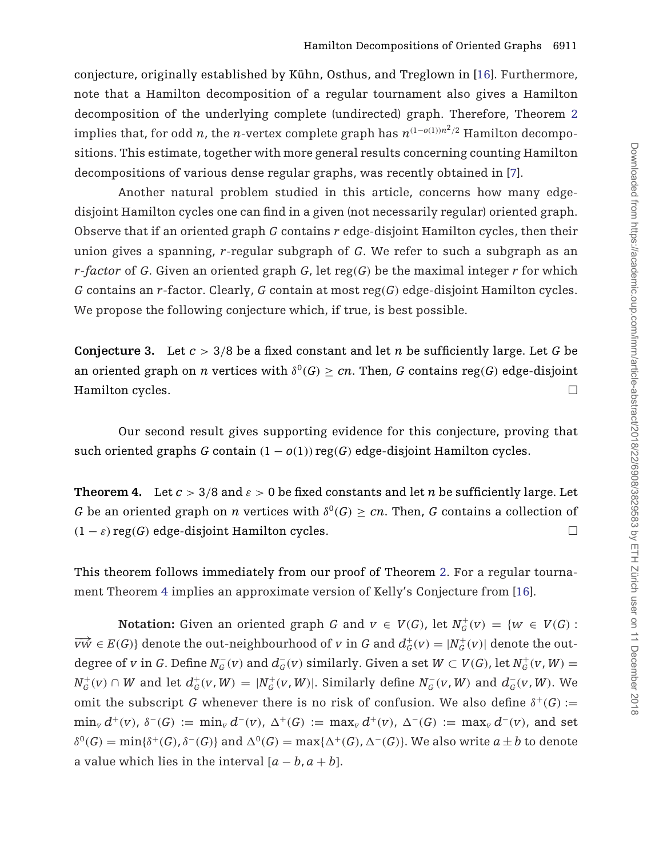<span id="page-3-0"></span>conjecture, originally established by Kühn, Osthus, and Treglown in [\[16\]](#page-25-0). Furthermore, note that a Hamilton decomposition of a regular tournament also gives a Hamilton decomposition of the underlying complete (undirected) graph. Therefore, Theorem [2](#page-2-0) implies that, for odd *n*, the *n*-vertex complete graph has  $n^{(1-o(1))n^2/2}$  Hamilton decompositions. This estimate, together with more general results concerning counting Hamilton decompositions of various dense regular graphs, was recently obtained in [\[7](#page-24-0)].

Another natural problem studied in this article, concerns how many edgedisjoint Hamilton cycles one can find in a given (not necessarily regular) oriented graph. Observe that if an oriented graph *G* contains *r* edge-disjoint Hamilton cycles, then their union gives a spanning, *r*-regular subgraph of *G*. We refer to such a subgraph as an *r*-*factor* of *G*. Given an oriented graph *G*, let reg(*G*) be the maximal integer *r* for which *G* contains an *r*-factor. Clearly, *G* contain at most reg(*G*) edge-disjoint Hamilton cycles. We propose the following conjecture which, if true, is best possible.

**Conjecture 3.** Let  $c > 3/8$  be a fixed constant and let *n* be sufficiently large. Let *G* be an oriented graph on *n* vertices with  $\delta^{0}(G) \geq cn$ . Then, *G* contains reg(*G*) edge-disjoint Hamilton cycles.  $\Box$ 

Our second result gives supporting evidence for this conjecture, proving that such oriented graphs *G* contain  $(1 - o(1))$  reg(*G*) edge-disjoint Hamilton cycles.

**Theorem 4.** Let  $c > 3/8$  and  $\epsilon > 0$  be fixed constants and let *n* be sufficiently large. Let *G* be an oriented graph on *n* vertices with  $\delta^{0}(G) \ge cn$ . Then, *G* contains a collection of  $(1 - \varepsilon)$  reg(*G*) edge-disjoint Hamilton cycles.  $\Box$ 

This theorem follows immediately from our proof of Theorem [2.](#page-2-0) For a regular tournament Theorem 4 implies an approximate version of Kelly's Conjecture from [\[16\]](#page-25-0).

**Notation:** Given an oriented graph *G* and  $v \in V(G)$ , let  $N_G^+(v) = \{w \in V(G) :$  $\overrightarrow{vw} \in E(G)$ } denote the out-neighbourhood of *v* in *G* and  $d^+_G(v) = |N^+_G(v)|$  denote the outdegree of *v* in *G*. Define  $N_G^-(v)$  and  $d_G^-(v)$  similarly. Given a set  $W \subset V(G)$ , let  $N_G^+(v, W) =$  $N^+_G(v) \cap W$  and let  $d^+_G(v, W) = |N^+_G(v, W)|$ . Similarly define  $N^-_G(v, W)$  and  $d^-_G(v, W)$ . We omit the subscript *G* whenever there is no risk of confusion. We also define  $\delta^+(G)$  :=  $\min_v d^+(v)$ ,  $\delta^-(G) := \min_v d^-(v)$ ,  $\Delta^+(G) := \max_v d^+(v)$ ,  $\Delta^-(G) := \max_v d^-(v)$ , and set  $\delta^{0}(G) = \min\{\delta^{+}(G), \delta^{-}(G)\}\$ and  $\Delta^{0}(G) = \max\{\Delta^{+}(G), \Delta^{-}(G)\}\$ . We also write  $a \pm b$  to denote a value which lies in the interval  $[a - b, a + b]$ .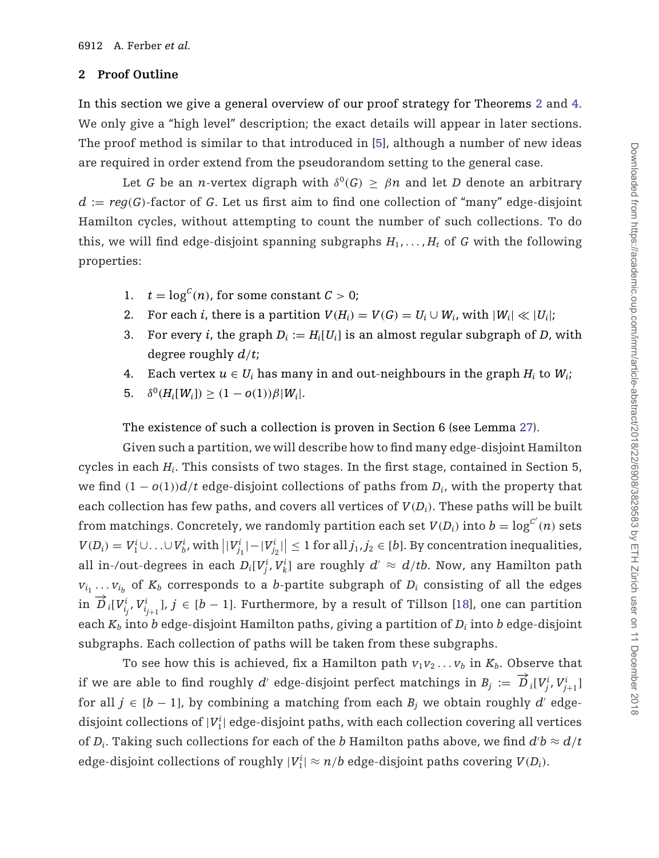## **2 Proof Outline**

In this section we give a general overview of our proof strategy for Theorems [2](#page-2-0) and [4.](#page-3-0) We only give a "high level" description; the exact details will appear in later sections. The proof method is similar to that introduced in [\[5\]](#page-24-0), although a number of new ideas are required in order extend from the pseudorandom setting to the general case.

Let *G* be an *n*-vertex digraph with  $\delta^{0}(G) \geq \beta n$  and let *D* denote an arbitrary  $d := \text{reg}(G)$ -factor of G. Let us first aim to find one collection of "many" edge-disjoint Hamilton cycles, without attempting to count the number of such collections. To do this, we will find edge-disjoint spanning subgraphs  $H_1, \ldots, H_t$  of *G* with the following properties:

- 1.  $t = \log^{C}(n)$ , for some constant  $C > 0$ ;
- 2. For each *i*, there is a partition  $V(H_i) = V(G) = U_i \cup W_i$ , with  $|W_i| \ll |U_i|$ ;
- 3. For every *i*, the graph  $D_i := H_i[U_i]$  is an almost regular subgraph of *D*, with degree roughly *d*/*t*;
- 4. Each vertex  $u \in U_i$  has many in and out-neighbours in the graph  $H_i$  to  $W_i$ ;
- 5.  $\delta^{0}(H_i[W_i]) \geq (1 o(1))\beta |W_i|.$

The existence of such a collection is proven in Section 6 (see Lemma [27\)](#page-18-0).

Given such a partition, we will describe how to find many edge-disjoint Hamilton cycles in each *Hi*. This consists of two stages. In the first stage, contained in Section 5, we find  $(1 - o(1))d/t$  edge-disjoint collections of paths from  $D_i$ , with the property that each collection has few paths, and covers all vertices of  $V(D_i)$ . These paths will be built from matchings. Concretely, we randomly partition each set  $V(D_i)$  into  $b = \log^{C'}(n)$  sets  $V(D_i) = V_1^i \cup \ldots \cup V_b^i$ , with  $\left| |V_{j_1}^i| - |V_{j_2}^i| \right| \leq 1$  for all  $j_1, j_2 \in [b]$ . By concentration inequalities, all in-/out-degrees in each  $D_i[V^i_j,V^i_k]$  are roughly  $d' \approx d/tb$ . Now, any Hamilton path  $v_{i_1} \ldots v_{i_b}$  of  $K_b$  corresponds to a *b*-partite subgraph of  $D_i$  consisting of all the edges  $\overrightarrow{D}_{i}[V_{i_{j}}^{i}, V_{i_{j+1}}^{i}], j \in [b-1]$ . Furthermore, by a result of Tillson [\[18\]](#page-25-0), one can partition each  $K_b$  into *b* edge-disjoint Hamilton paths, giving a partition of  $D_i$  into *b* edge-disjoint subgraphs. Each collection of paths will be taken from these subgraphs.

To see how this is achieved, fix a Hamilton path  $v_1v_2 \ldots v_b$  in  $K_b$ . Observe that if we are able to find roughly *d'* edge-disjoint perfect matchings in  $B_j := \overrightarrow{D}_i[V_j^i, V_{j+1}^i]$ for all *j* ∈  $[b - 1]$ , by combining a matching from each  $B_i$  we obtain roughly *d'* edgedisjoint collections of  $|V^\mathrm{i}_1|$  edge-disjoint paths, with each collection covering all vertices of  $D_i$ . Taking such collections for each of the  $b$  Hamilton paths above, we find  $d'b \approx d/t$ edge-disjoint collections of roughly  $|V_1^i| \approx n/b$  edge-disjoint paths covering  $V(D_i)$ .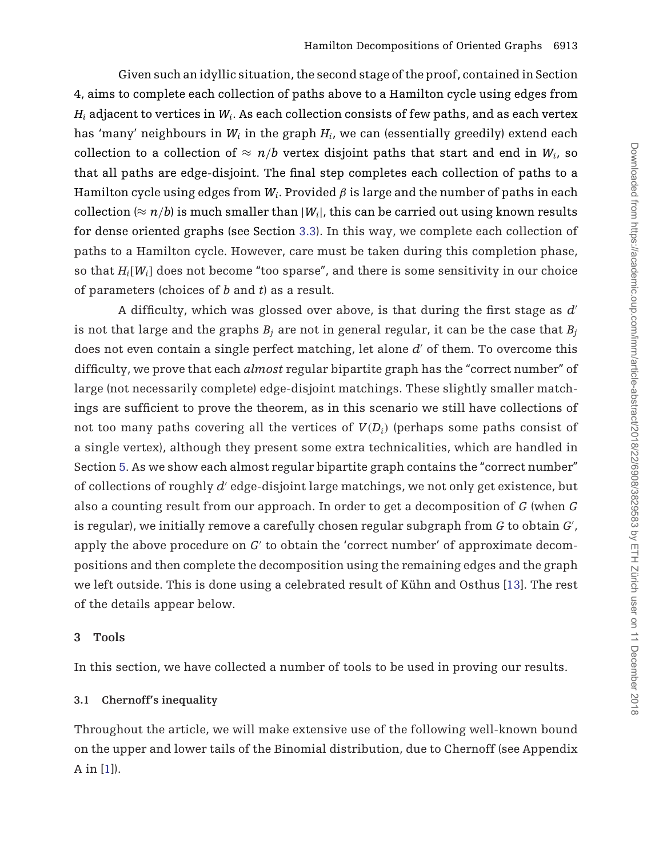Given such an idyllic situation, the second stage of the proof, contained in Section 4, aims to complete each collection of paths above to a Hamilton cycle using edges from  $H_i$  adjacent to vertices in  $W_i$ . As each collection consists of few paths, and as each vertex has 'many' neighbours in  $W_i$  in the graph  $H_i$ , we can (essentially greedily) extend each collection to a collection of  $\approx n/b$  vertex disjoint paths that start and end in  $W_i$ , so that all paths are edge-disjoint. The final step completes each collection of paths to a Hamilton cycle using edges from  $W_i$ . Provided  $\beta$  is large and the number of paths in each collection ( $\approx n/b$ ) is much smaller than  $|W_i|$ , this can be carried out using known results for dense oriented graphs (see Section [3.3\)](#page-8-0). In this way, we complete each collection of paths to a Hamilton cycle. However, care must be taken during this completion phase, so that *Hi*[*Wi*] does not become "too sparse", and there is some sensitivity in our choice of parameters (choices of *b* and *t*) as a result.

A difficulty, which was glossed over above, is that during the first stage as *d* is not that large and the graphs  $B_i$  are not in general regular, it can be the case that  $B_i$ does not even contain a single perfect matching, let alone *d'* of them. To overcome this difficulty, we prove that each *almost* regular bipartite graph has the "correct number" of large (not necessarily complete) edge-disjoint matchings. These slightly smaller matchings are sufficient to prove the theorem, as in this scenario we still have collections of not too many paths covering all the vertices of  $V(D_i)$  (perhaps some paths consist of a single vertex), although they present some extra technicalities, which are handled in Section [5.](#page-12-0) As we show each almost regular bipartite graph contains the "correct number" of collections of roughly *d'* edge-disjoint large matchings, we not only get existence, but also a counting result from our approach. In order to get a decomposition of *G* (when *G* is regular), we initially remove a carefully chosen regular subgraph from *G* to obtain *G'*, apply the above procedure on  $G'$  to obtain the 'correct number' of approximate decompositions and then complete the decomposition using the remaining edges and the graph we left outside. This is done using a celebrated result of Kühn and Osthus [\[13](#page-24-0)]. The rest of the details appear below.

### **3 Tools**

In this section, we have collected a number of tools to be used in proving our results.

## **3.1 Chernoff's inequality**

Throughout the article, we will make extensive use of the following well-known bound on the upper and lower tails of the Binomial distribution, due to Chernoff (see Appendix A in [\[1](#page-24-0)]).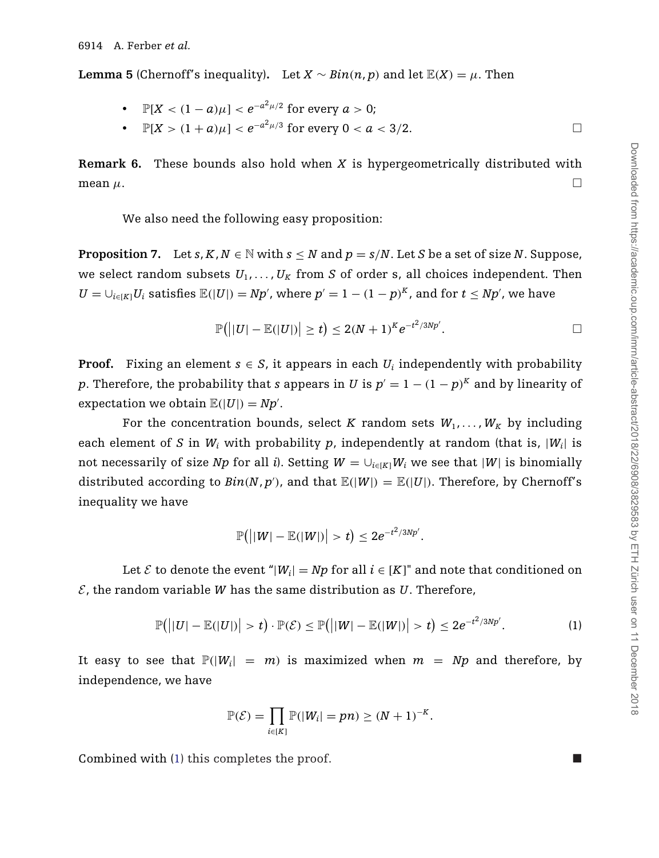<span id="page-6-0"></span>**Lemma 5** (Chernoff's inequality). Let  $X \sim Bin(n, p)$  and let  $\mathbb{E}(X) = \mu$ . Then

- $\mathbb{P}[X < (1-a)\mu] < e^{-a^2\mu/2}$  for every  $a > 0$ ;
- $\mathbb{P}[X > (1+a)\mu] < e^{-a^2\mu/3}$  for every  $0 < a < 3/2$ .  $\Box$

**Remark 6.** These bounds also hold when *X* is hypergeometrically distributed with mean  $\mu$ .

We also need the following easy proposition:

**Proposition 7.** Let *s*,  $K, N \in \mathbb{N}$  with  $s \leq N$  and  $p = s/N$ . Let *S* be a set of size *N*. Suppose, we select random subsets  $U_1, \ldots, U_K$  from *S* of order s, all choices independent. Then  $U = \bigcup_{i \in [K]} U_i$  satisfies  $\mathbb{E}(|U|) = Np'$ , where  $p' = 1 - (1 - p)^K$ , and for  $t \leq Np'$ , we have

$$
\mathbb{P}(||U|-\mathbb{E}(|U|)|\geq t)\leq 2(N+1)^K e^{-t^2/3Np'}.\qquad \qquad \Box
$$

**Proof.** Fixing an element  $s \in S$ , it appears in each  $U_i$  independently with probability *p*. Therefore, the probability that *s* appears in *U* is  $p' = 1 - (1 - p)^K$  and by linearity of expectation we obtain  $\mathbb{E}(|U|) = Np'.$ 

For the concentration bounds, select *K* random sets  $W_1, \ldots, W_K$  by including each element of *S* in *W<sub>i</sub>* with probability *p*, independently at random (that is,  $|W_i|$  is not necessarily of size *Np* for all *i*). Setting  $W = \bigcup_{i \in [K]} W_i$  we see that  $|W|$  is binomially distributed according to  $Bin(N, p')$ , and that  $\mathbb{E}(|W|) = \mathbb{E}(|U|)$ . Therefore, by Chernoff's inequality we have

$$
\mathbb{P}\big( \big| |W|-\mathbb{E}(|W|) \big| > t \big) \leq 2e^{-t^2/3Np'}.
$$

Let  $\mathcal E$  to denote the event "| $W_i$ | =  $Np$  for all  $i \in [K]$ " and note that conditioned on  $\mathcal{E}$ , the random variable *W* has the same distribution as *U*. Therefore,

$$
\mathbb{P}\big(\big||U|-\mathbb{E}(|U|)\big|>t\big)\cdot\mathbb{P}(\mathcal{E})\leq \mathbb{P}\big(\big||W|-\mathbb{E}(|W|)\big|>t\big)\leq 2e^{-t^2/3Np'}.\hspace{1.5cm} (1)
$$

It easy to see that  $\mathbb{P}(|W_i| = m)$  is maximized when  $m = Np$  and therefore, by independence, we have

$$
\mathbb{P}(\mathcal{E}) = \prod_{i \in [K]} \mathbb{P}(|W_i| = pn) \geq (N+1)^{-K}.
$$

Combined with (1) this completes the proof.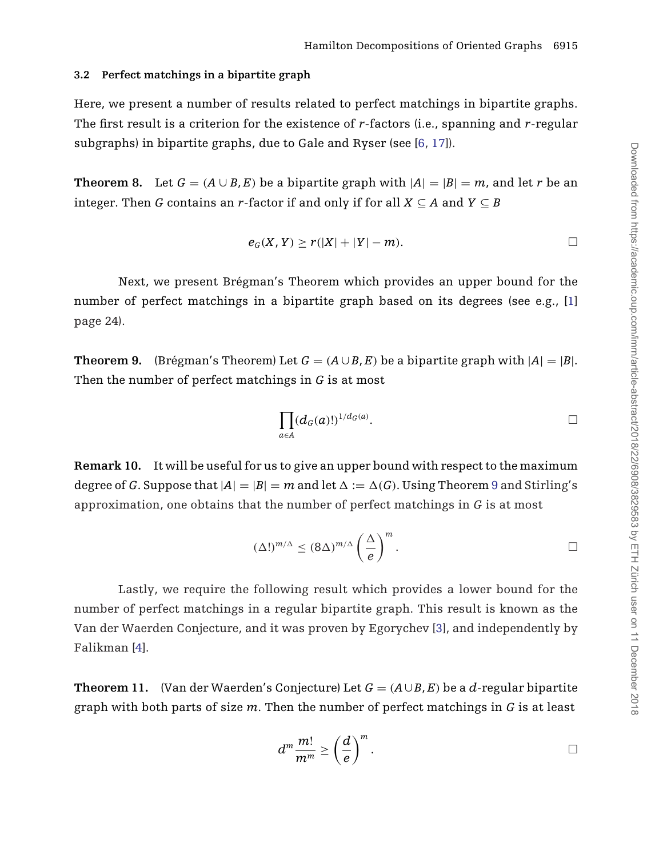### <span id="page-7-0"></span>**3.2 Perfect matchings in a bipartite graph**

Here, we present a number of results related to perfect matchings in bipartite graphs. The first result is a criterion for the existence of *r*-factors (i.e., spanning and *r*-regular subgraphs) in bipartite graphs, due to Gale and Ryser (see [\[6](#page-24-0), [17](#page-25-0)]).

**Theorem 8.** Let  $G = (A \cup B, E)$  be a bipartite graph with  $|A| = |B| = m$ , and let *r* be an integer. Then *G* contains an *r*-factor if and only if for all  $X \subseteq A$  and  $Y \subseteq B$ 

$$
e_G(X, Y) \ge r(|X| + |Y| - m).
$$

Next, we present Brégman's Theorem which provides an upper bound for the number of perfect matchings in a bipartite graph based on its degrees (see e.g., [\[1\]](#page-24-0) page 24).

**Theorem 9.** (Brégman's Theorem) Let  $G = (A \cup B, E)$  be a bipartite graph with  $|A| = |B|$ . Then the number of perfect matchings in *G* is at most

$$
\prod_{a\in A}(d_G(a)!)^{1/d_G(a)}.
$$

**Remark 10.** It will be useful for us to give an upper bound with respect to the maximum degree of *G*. Suppose that  $|A|=|B|=m$  and let  $\Delta := \Delta(G)$ . Using Theorem 9 and Stirling's approximation, one obtains that the number of perfect matchings in *G* is at most

$$
(\Delta!)^{m/\Delta} \leq (8\Delta)^{m/\Delta} \left(\frac{\Delta}{e}\right)^m.
$$

Lastly, we require the following result which provides a lower bound for the number of perfect matchings in a regular bipartite graph. This result is known as the Van der Waerden Conjecture, and it was proven by Egorychev [\[3\]](#page-24-0), and independently by Falikman [\[4\]](#page-24-0).

**Theorem 11.** (Van der Waerden's Conjecture) Let  $G = (A \cup B, E)$  be a *d*-regular bipartite graph with both parts of size *m*. Then the number of perfect matchings in *G* is at least

$$
d^m \frac{m!}{m^m} \ge \left(\frac{d}{e}\right)^m.
$$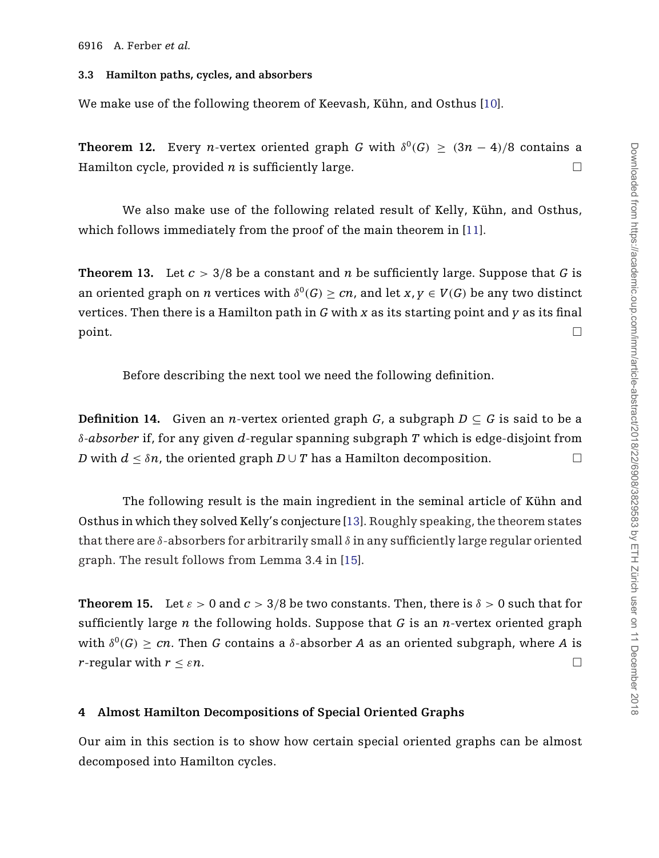#### <span id="page-8-0"></span>**3.3 Hamilton paths, cycles, and absorbers**

We make use of the following theorem of Keevash, Kühn, and Osthus [\[10](#page-24-0)].

**Theorem 12.** Every *n*-vertex oriented graph *G* with  $\delta^{0}(G) > (3n - 4)/8$  contains a Hamilton cycle, provided *n* is sufficiently large.  $\Box$ 

We also make use of the following related result of Kelly, Kühn, and Osthus, which follows immediately from the proof of the main theorem in [\[11\]](#page-24-0).

**Theorem 13.** Let  $c > 3/8$  be a constant and *n* be sufficiently large. Suppose that *G* is an oriented graph on *n* vertices with  $\delta^{0}(G) > cn$ , and let  $x, y \in V(G)$  be any two distinct vertices. Then there is a Hamilton path in *G* with *x* as its starting point and *y* as its final  $\Box$ 

Before describing the next tool we need the following definition.

**Definition 14.** Given an *n*-vertex oriented graph  $G$ , a subgraph  $D \subset G$  is said to be a δ*-absorber* if, for any given *d*-regular spanning subgraph *T* which is edge-disjoint from *D* with  $d < \delta n$ , the oriented graph  $D \cup T$  has a Hamilton decomposition.

The following result is the main ingredient in the seminal article of Kühn and Osthus in which they solved Kelly's conjecture [\[13\]](#page-24-0). Roughly speaking, the theorem states that there are  $\delta$ -absorbers for arbitrarily small  $\delta$  in any sufficiently large regular oriented graph. The result follows from Lemma 3.4 in [\[15\]](#page-25-0).

**Theorem 15.** Let  $\varepsilon > 0$  and  $c > 3/8$  be two constants. Then, there is  $\delta > 0$  such that for sufficiently large *n* the following holds. Suppose that *G* is an *n*-vertex oriented graph with  $\delta^{0}(G) > cn$ . Then *G* contains a  $\delta$ -absorber *A* as an oriented subgraph, where *A* is *r*-regular with  $r < \varepsilon n$ .  $\Box$ 

## **4 Almost Hamilton Decompositions of Special Oriented Graphs**

Our aim in this section is to show how certain special oriented graphs can be almost decomposed into Hamilton cycles.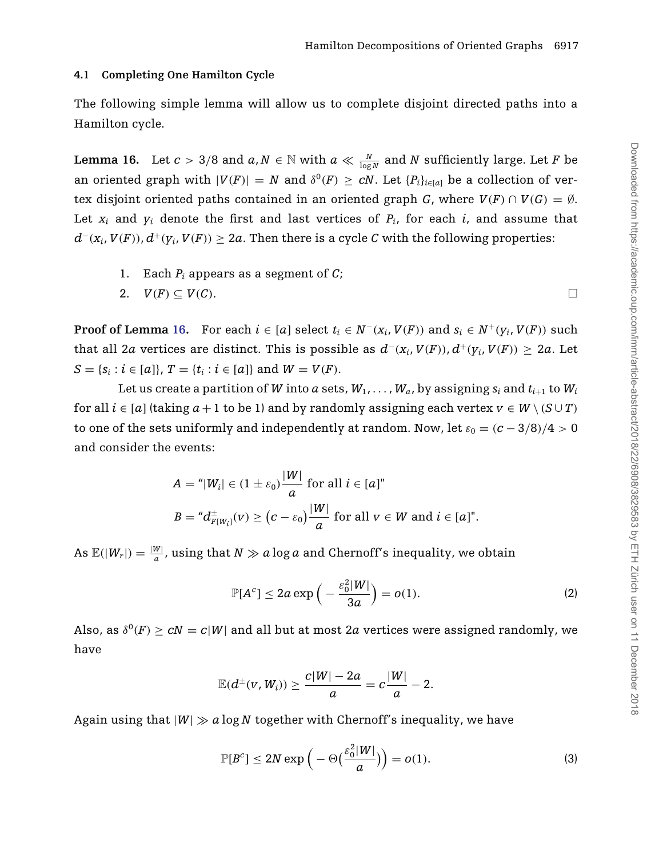#### <span id="page-9-0"></span>**4.1 Completing One Hamilton Cycle**

The following simple lemma will allow us to complete disjoint directed paths into a Hamilton cycle.

**Lemma 16.** Let  $c > 3/8$  and  $a, N \in \mathbb{N}$  with  $a \ll \frac{N}{\log N}$  and  $N$  sufficiently large. Let  $F$  be an oriented graph with  $|V(F)| = N$  and  $\delta^{0}(F) \ge cN$ . Let  $\{P_i\}_{i \in [a]}$  be a collection of vertex disjoint oriented paths contained in an oriented graph *G*, where  $V(F) \cap V(G) = \emptyset$ . Let  $x_i$  and  $y_i$  denote the first and last vertices of  $P_i$ , for each  $i$ , and assume that  $d^-(x_i, V(F))$ ,  $d^+(y_i, V(F)) \geq 2a$ . Then there is a cycle *C* with the following properties:

1. Each *Pi* appears as a segment of *C*;

2. 
$$
V(F) \subseteq V(C)
$$
.

**Proof of Lemma 16.** For each  $i \in [a]$  select  $t_i \in N^-(x_i, V(F))$  and  $s_i \in N^+(y_i, V(F))$  such that all 2*a* vertices are distinct. This is possible as  $d^-(x_i, V(F))$ ,  $d^+(y_i, V(F)) \geq 2a$ . Let  $S = \{s_i : i \in [a]\}, T = \{t_i : i \in [a]\}$  and  $W = V(F)$ .

Let us create a partition of *W* into *a* sets,  $W_1, \ldots, W_a$ , by assigning  $s_i$  and  $t_{i+1}$  to  $W_i$ for all  $i \in [a]$  (taking  $a+1$  to be 1) and by randomly assigning each vertex  $v \in W \setminus (S \cup T)$ to one of the sets uniformly and independently at random. Now, let  $\varepsilon_0 = (c - 3/8)/4 > 0$ and consider the events:

$$
A = \n\begin{cases} \n|W_i| \in (1 \pm \varepsilon_0) \frac{|W|}{a} \text{ for all } i \in [a] \n\end{cases}
$$
\n
$$
B = \n\begin{cases} \n\frac{d}{dx} w_i(v) \geq \left( c - \varepsilon_0 \right) \frac{|W|}{a} \text{ for all } v \in W \text{ and } i \in [a] \n\end{cases}
$$

As  $\mathbb{E}(|W_r|) = \frac{|W|}{a}$ , using that  $N \gg a \log a$  and Chernoff's inequality, we obtain

$$
\mathbb{P}[A^c] \le 2a \exp\left(-\frac{\varepsilon_0^2 |W|}{3a}\right) = o(1). \tag{2}
$$

Also, as  $\delta^{0}(F) > cN = c|W|$  and all but at most 2*a* vertices were assigned randomly, we have

$$
\mathbb{E}(d^{\pm}(v, W_i)) \geq \frac{c|W| - 2a}{a} = c\frac{|W|}{a} - 2.
$$

Again using that  $|W| \gg a \log N$  together with Chernoff's inequality, we have

$$
\mathbb{P}[B^c] \le 2N \exp\left(-\Theta\left(\frac{\varepsilon_0^2|W|}{a}\right)\right) = o(1). \tag{3}
$$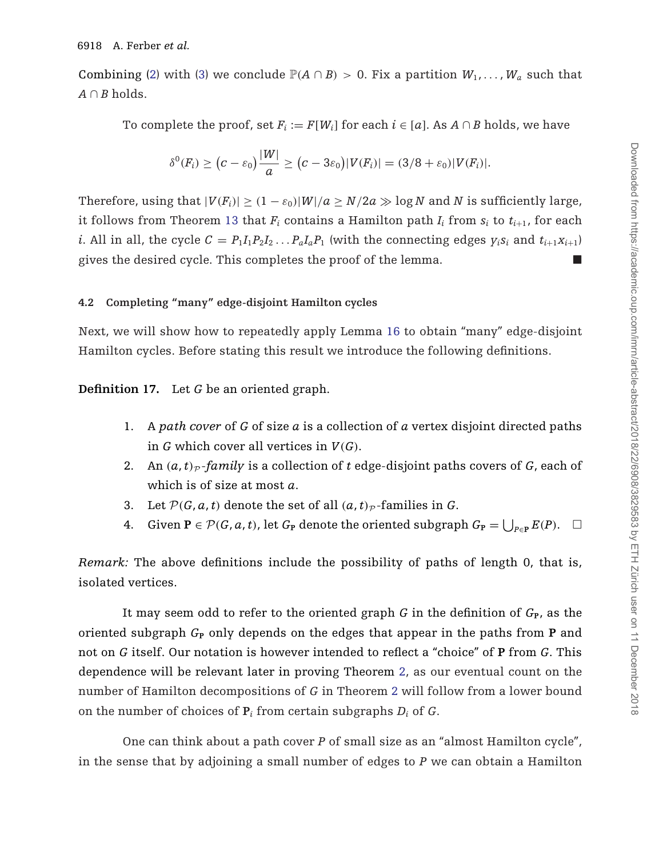Combining [\(2\)](#page-9-0) with [\(3\)](#page-9-0) we conclude  $\mathbb{P}(A \cap B) > 0$ . Fix a partition  $W_1, \ldots, W_a$  such that  $A \cap B$  holds.

To complete the proof, set  $F_i := F[W_i]$  for each  $i \in [a]$ . As  $A \cap B$  holds, we have

$$
\delta^0(F_i) \geq (c-\varepsilon_0)\frac{|W|}{a} \geq (c-3\varepsilon_0)|V(F_i)| = (3/8+\varepsilon_0)|V(F_i)|.
$$

Therefore, using that  $|V(F_i)| \geq (1 - \varepsilon_0)|W|/a \geq N/2a \gg \log N$  and *N* is sufficiently large, it follows from Theorem [13](#page-8-0) that  $F_i$  contains a Hamilton path  $I_i$  from  $s_i$  to  $t_{i+1}$ , for each *i*. All in all, the cycle  $C = P_1 I_1 P_2 I_2 ... P_a I_a P_1$  (with the connecting edges  $y_i s_i$  and  $t_{i+1} x_{i+1}$ ) gives the desired cycle. This completes the proof of the lemma.

## **4.2 Completing "many" edge-disjoint Hamilton cycles**

Next, we will show how to repeatedly apply Lemma [16](#page-9-0) to obtain "many" edge-disjoint Hamilton cycles. Before stating this result we introduce the following definitions.

## **Definition 17.** Let *G* be an oriented graph.

- 1. A *path cover* of *G* of size *a* is a collection of *a* vertex disjoint directed paths in *G* which cover all vertices in *V*(*G*).
- 2. An  $(a, t)_P$ -*family* is a collection of *t* edge-disjoint paths covers of *G*, each of which is of size at most *a*.
- 3. Let  $P(G, a, t)$  denote the set of all  $(a, t)_P$ -families in *G*.
- 4. Given  $P \in \mathcal{P}(G, a, t)$ , let  $G_P$  denote the oriented subgraph  $G_P = \bigcup_{P \in P} E(P)$ .  $\Box$

*Remark:* The above definitions include the possibility of paths of length 0, that is, isolated vertices.

It may seem odd to refer to the oriented graph  $G$  in the definition of  $G_{\text{P}}$ , as the oriented subgraph *G***<sup>P</sup>** only depends on the edges that appear in the paths from **P** and not on *G* itself. Our notation is however intended to reflect a "choice" of **P** from *G*. This dependence will be relevant later in proving Theorem [2,](#page-2-0) as our eventual count on the number of Hamilton decompositions of *G* in Theorem [2](#page-2-0) will follow from a lower bound on the number of choices of  $P_i$  from certain subgraphs  $D_i$  of  $G$ .

One can think about a path cover *P* of small size as an "almost Hamilton cycle", in the sense that by adjoining a small number of edges to *P* we can obtain a Hamilton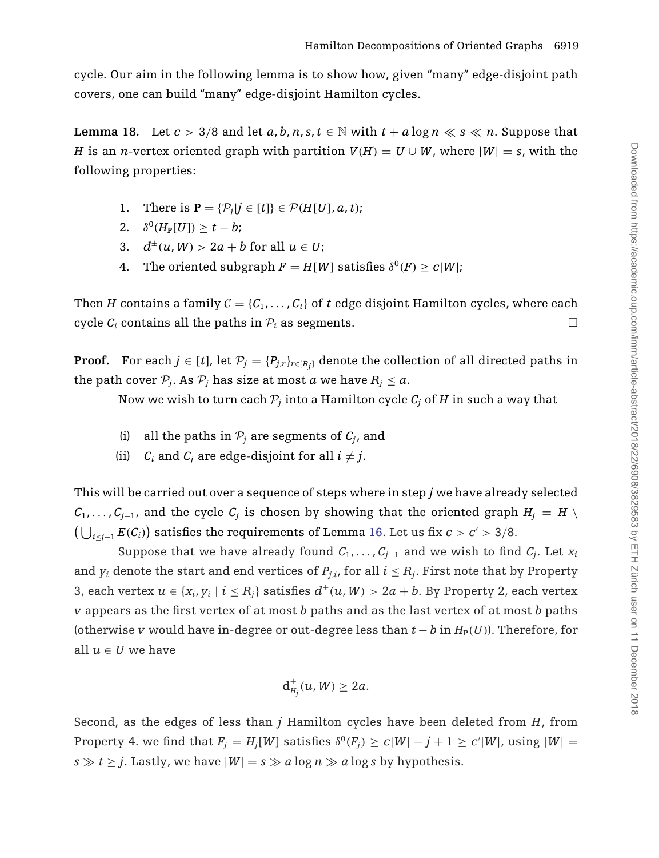<span id="page-11-0"></span>cycle. Our aim in the following lemma is to show how, given "many" edge-disjoint path covers, one can build "many" edge-disjoint Hamilton cycles.

**Lemma 18.** Let  $c > 3/8$  and let  $a, b, n, s, t \in \mathbb{N}$  with  $t + a \log n \ll s \ll n$ . Suppose that *H* is an *n*-vertex oriented graph with partition  $V(H) = U \cup W$ , where  $|W| = s$ , with the following properties:

- 1. There is  $P = \{P_i | j \in [t] \} \in \mathcal{P}(H[U], a, t)$ ;
- 2.  $\delta^{0}(H_{P}[U]) > t b;$
- 3.  $d^{\pm}(u, W) > 2a + b$  for all  $u \in U$ ;
- 4. The oriented subgraph  $F = H[W]$  satisfies  $\delta^0(F) \geq c|W|$ ;

Then *H* contains a family  $C = \{C_1, \ldots, C_t\}$  of *t* edge disjoint Hamilton cycles, where each cycle  $C_i$  contains all the paths in  $\mathcal{P}_i$  as segments.  $\Box$ 

**Proof.** For each  $j \in [t]$ , let  $\mathcal{P}_j = \{P_{j,r}\}_{r \in [R_j]}$  denote the collection of all directed paths in the path cover  $P_i$ . As  $P_j$  has size at most *a* we have  $R_j \leq a$ .

Now we wish to turn each  $P_i$  into a Hamilton cycle  $C_i$  of  $H$  in such a way that

- (i) all the paths in  $P_i$  are segments of  $C_i$ , and
- (ii)  $C_i$  and  $C_j$  are edge-disjoint for all  $i \neq j$ .

This will be carried out over a sequence of steps where in step *j* we have already selected  $C_1, \ldots, C_{j-1}$ , and the cycle  $C_j$  is chosen by showing that the oriented graph  $H_j = H \setminus$  $\left(\bigcup_{i\leq j-1} E(C_i)\right)$  satisfies the requirements of Lemma [16.](#page-9-0) Let us fix *c* > *c*' > 3/8.

Suppose that we have already found  $C_1, \ldots, C_{i-1}$  and we wish to find  $C_i$ . Let  $x_i$ and  $y_i$  denote the start and end vertices of  $P_{i,i}$ , for all  $i \leq R_i$ . First note that by Property 3, each vertex  $u \in \{x_i, y_i \mid i \leq R_i\}$  satisfies  $d^{\pm}(u, W) > 2a + b$ . By Property 2, each vertex *v* appears as the first vertex of at most *b* paths and as the last vertex of at most *b* paths (otherwise *v* would have in-degree or out-degree less than  $t - b$  in  $H_P(U)$ ). Therefore, for all  $u \in U$  we have

$$
d_{H_j}^{\pm}(u,W)\geq 2a.
$$

Second, as the edges of less than *j* Hamilton cycles have been deleted from *H*, from Property 4. we find that  $F_j = H_j[W]$  satisfies  $\delta^0(F_j) \geq c|W| - j + 1 \geq c'|W|$ , using  $|W| = 1$  $s \gg t \geq j$ . Lastly, we have  $|W| = s \gg a \log n \gg a \log s$  by hypothesis.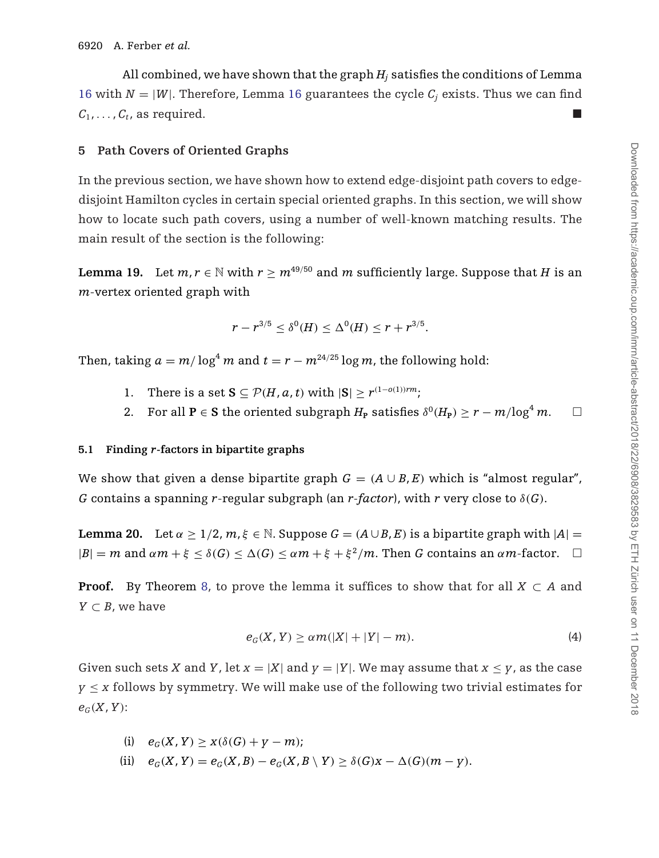<span id="page-12-0"></span>All combined, we have shown that the graph  $H_i$  satisfies the conditions of Lemma [16](#page-9-0) with  $N = |W|$ . Therefore, Lemma 16 guarantees the cycle  $C_i$  exists. Thus we can find  $C_1, \ldots, C_t$ , as required.

# **5 Path Covers of Oriented Graphs**

In the previous section, we have shown how to extend edge-disjoint path covers to edgedisjoint Hamilton cycles in certain special oriented graphs. In this section, we will show how to locate such path covers, using a number of well-known matching results. The main result of the section is the following:

**Lemma 19.** Let  $m, r \in \mathbb{N}$  with  $r > m^{49/50}$  and  $m$  sufficiently large. Suppose that *H* is an *m*-vertex oriented graph with

$$
r - r^{3/5} \le \delta^0(H) \le \Delta^0(H) \le r + r^{3/5}.
$$

Then, taking  $a = m/\log^4 m$  and  $t = r - m^{24/25} \log m$ , the following hold:

- 1. There is a set  $\mathbf{S} \subset \mathcal{P}(H, a, t)$  with  $|\mathbf{S}| > r^{(1-o(1))rm}$ ;
- 2. For all **P**  $\in$  **S** the oriented subgraph  $H_P$  satisfies  $\delta^0(H_P) \ge r m/\log^4 m$ .  $\Box$

## **5.1 Finding** *r***-factors in bipartite graphs**

We show that given a dense bipartite graph  $G = (A \cup B, E)$  which is "almost regular", *G* contains a spanning *r*-regular subgraph (an *r-factor*), with *r* very close to δ(*G*).

**Lemma 20.** Let  $\alpha \geq 1/2$ ,  $m, \xi \in \mathbb{N}$ . Suppose  $G = (A \cup B, E)$  is a bipartite graph with  $|A|$  $|B| = m$  and  $\alpha m + \xi \leq \delta(G) \leq \Delta(G) \leq \alpha m + \xi + \xi^2/m$ . Then *G* contains an  $\alpha m$ -factor.  $\Box$ 

**Proof.** By Theorem [8,](#page-7-0) to prove the lemma it suffices to show that for all  $X \subset A$  and *Y*  $\subset$  *B*, we have

$$
e_G(X, Y) \ge \alpha m(|X| + |Y| - m). \tag{4}
$$

Given such sets *X* and *Y*, let  $x = |X|$  and  $y = |Y|$ . We may assume that  $x \le y$ , as the case  $y \leq x$  follows by symmetry. We will make use of the following two trivial estimates for  $e_G(X, Y)$ :

- (i)  $e_G(X, Y) > X(\delta(G) + V m);$
- (ii)  $e_G(X, Y) = e_G(X, B) e_G(X, B \setminus Y) \ge \delta(G)X \Delta(G)(m y).$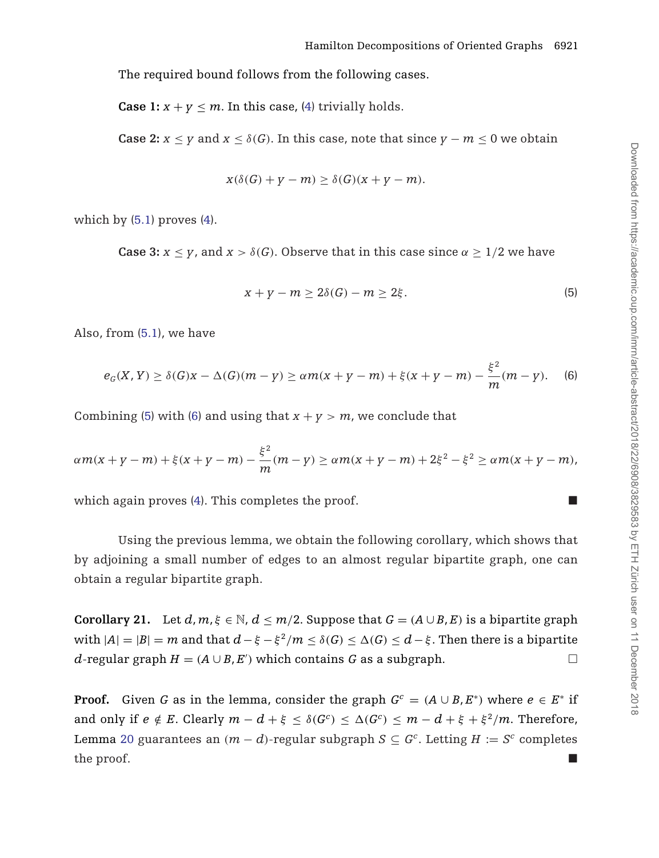<span id="page-13-0"></span>The required bound follows from the following cases.

**Case 1:**  $x + y \le m$ . In this case, [\(4\)](#page-12-0) trivially holds.

**Case 2:**  $x \leq y$  and  $x \leq \delta(G)$ . In this case, note that since  $y - m \leq 0$  we obtain

$$
x(\delta(G) + y - m) \ge \delta(G)(x + y - m).
$$

which by  $(5.1)$  proves  $(4)$ .

**Case 3:**  $x \leq y$ , and  $x > \delta(G)$ . Observe that in this case since  $\alpha > 1/2$  we have

$$
x + y - m \ge 2\delta(G) - m \ge 2\xi.
$$
 (5)

Also, from [\(5.1\)](#page-12-0), we have

$$
e_G(X, Y) \ge \delta(G)x - \Delta(G)(m - y) \ge \alpha m(x + y - m) + \xi(x + y - m) - \frac{\xi^2}{m}(m - y). \tag{6}
$$

Combining (5) with (6) and using that  $x + y > m$ , we conclude that

$$
\alpha m(x + y - m) + \xi(x + y - m) - \frac{\xi^2}{m}(m - y) \ge \alpha m(x + y - m) + 2\xi^2 - \xi^2 \ge \alpha m(x + y - m),
$$

which again proves  $(4)$ . This completes the proof.

Using the previous lemma, we obtain the following corollary, which shows that by adjoining a small number of edges to an almost regular bipartite graph, one can obtain a regular bipartite graph.

**Corollary 21.** Let  $d, m, \xi \in \mathbb{N}, d \leq m/2$ . Suppose that  $G = (A \cup B, E)$  is a bipartite graph with  $|A| = |B| = m$  and that  $d - \xi - \xi^2/m \le \delta(G) \le \Delta(G) \le d - \xi$ . Then there is a bipartite *d*-regular graph *H* = (*A*∪*B*, *E*<sup> $\prime$ </sup>) which contains *G* as a subgraph.  $□$ 

**Proof.** Given *G* as in the lemma, consider the graph  $G^c = (A \cup B, E^*)$  where  $e \in E^*$  if and only if  $e \notin E$ . Clearly  $m - d + \xi < \delta(G^c) < \Delta(G^c) < m - d + \xi + \xi^2/m$ . Therefore, Lemma [20](#page-12-0) guarantees an  $(m - d)$ -regular subgraph  $S \subseteq G^c$ . Letting  $H := S^c$  completes the proof.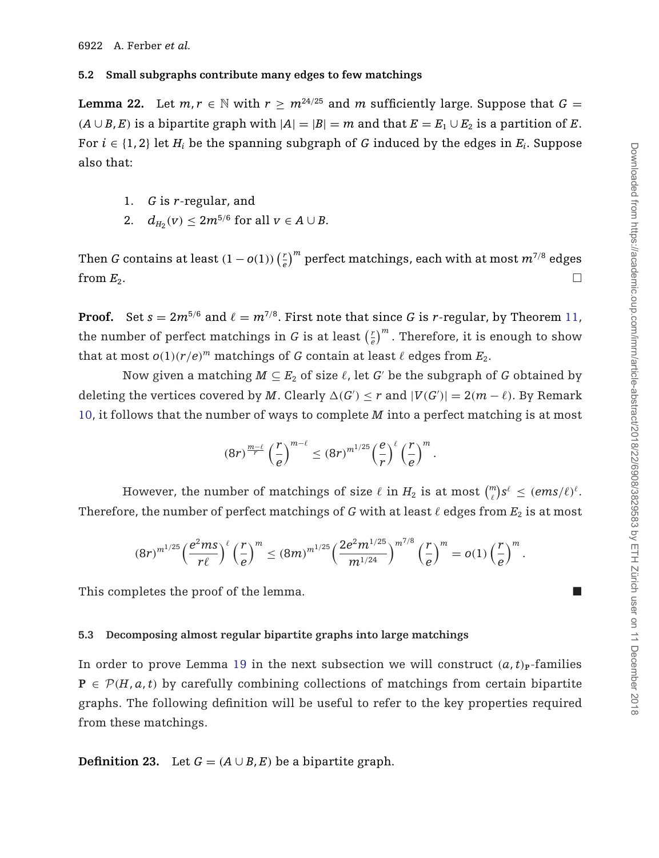#### <span id="page-14-0"></span>**5.2 Small subgraphs contribute many edges to few matchings**

**Lemma 22.** Let  $m, r \in \mathbb{N}$  with  $r \geq m^{24/25}$  and  $m$  sufficiently large. Suppose that  $G =$  $(A \cup B, E)$  is a bipartite graph with  $|A| = |B| = m$  and that  $E = E_1 \cup E_2$  is a partition of *E*. For  $i \in \{1, 2\}$  let  $H_i$  be the spanning subgraph of G induced by the edges in  $E_i$ . Suppose also that:

- 1. *G* is *r*-regular, and
- 2.  $d_{H_2}(v) \le 2m^{5/6}$  for all  $v \in A \cup B$ .

Then *G* contains at least  $(1-o(1))\left(\frac{r}{e}\right)^m$  perfect matchings, each with at most  $m^{7/8}$  edges from  $E_2$ .

**Proof.** Set  $s = 2m^{5/6}$  and  $\ell = m^{7/8}$ . First note that since G is *r*-regular, by Theorem [11,](#page-7-0) the number of perfect matchings in  $G$  is at least  $\left(\frac{r}{e}\right)^m$  . Therefore, it is enough to show that at most  $o(1)(r/e)^m$  matchings of *G* contain at least  $\ell$  edges from  $E_2$ .

Now given a matching  $M \subseteq E_2$  of size  $\ell$ , let *G*' be the subgraph of *G* obtained by deleting the vertices covered by *M*. Clearly  $\Delta(G') \leq r$  and  $|V(G')| = 2(m - \ell)$ . By Remark [10,](#page-7-0) it follows that the number of ways to complete *M* into a perfect matching is at most

$$
(8r)^{\frac{m-\ell}{r}}\left(\frac{r}{e}\right)^{m-\ell}\leq (8r)^{m^{1/25}}\left(\frac{e}{r}\right)^{\ell}\left(\frac{r}{e}\right)^m.
$$

However, the number of matchings of size  $\ell$  in  $H_2$  is at most  $\binom{m}{\ell} s^{\ell} \leq (\textit{ems}/\ell)^{\ell}.$ Therefore, the number of perfect matchings of *G* with at least  $\ell$  edges from  $E_2$  is at most

$$
(8r)^{m^{1/25}}\left(\frac{e^2ms}{r\ell}\right)^{\ell}\left(\frac{r}{e}\right)^m \le (8m)^{m^{1/25}}\left(\frac{2e^2m^{1/25}}{m^{1/24}}\right)^{m^{7/8}}\left(\frac{r}{e}\right)^m = o(1)\left(\frac{r}{e}\right)^m.
$$

This completes the proof of the lemma.

#### **5.3 Decomposing almost regular bipartite graphs into large matchings**

In order to prove Lemma [19](#page-12-0) in the next subsection we will construct  $(a, t)$ <sup>p</sup>-families  $P \in \mathcal{P}(H, a, t)$  by carefully combining collections of matchings from certain bipartite graphs. The following definition will be useful to refer to the key properties required from these matchings.

**Definition 23.** Let  $G = (A \cup B, E)$  be a bipartite graph.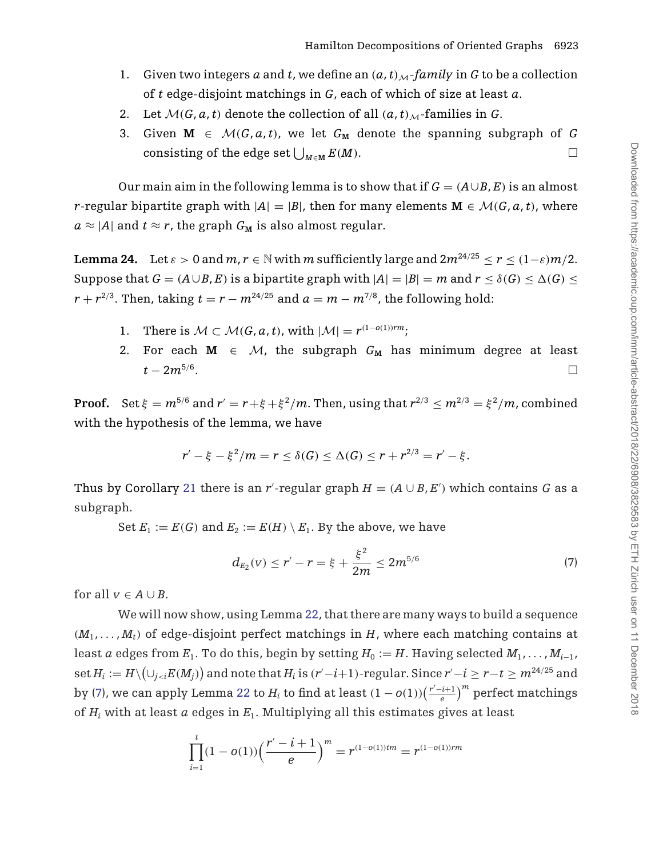- <span id="page-15-0"></span>1. Given two integers a and t, we define an  $(a, t)_{M}$ *-family* in G to be a collection of *t* edge-disjoint matchings in *G*, each of which of size at least *a*.
- 2. Let  $\mathcal{M}(G, a, t)$  denote the collection of all  $(a, t)_{\mathcal{M}}$ -families in *G*.
- 3. Given  $M \in \mathcal{M}(G, a, t)$ , we let  $G_M$  denote the spanning subgraph of G consisting of the edge set  $\bigcup_{M \in M} E(M)$ .

Our main aim in the following lemma is to show that if  $G = (A \cup B, E)$  is an almost *r*-regular bipartite graph with  $|A|=|B|$ , then for many elements  $\mathbf{M} \in \mathcal{M}(G, a, t)$ , where  $a \approx |A|$  and  $t \approx r$ , the graph  $G_M$  is also almost regular.

**Lemma 24.** Let  $\varepsilon > 0$  and  $m, r \in \mathbb{N}$  with  $m$  sufficiently large and  $2m^{24/25} < r < (1-\varepsilon)m/2$ . Suppose that  $G = (A \cup B, E)$  is a bipartite graph with  $|A| = |B| = m$  and  $r \le \delta(G) \le \Delta(G) \le$  $r + r^{2/3}$ . Then, taking  $t = r - m^{24/25}$  and  $a = m - m^{7/8}$ , the following hold:

- 1. There is  $M \subset M(G, a, t)$ , with  $|M| = r^{(1-o(1))rm}$ ;
- 2. For each  $M \in M$ , the subgraph  $G_M$  has minimum degree at least *t* − 2*m*<sup>5/6</sup>.

**Proof.** Set  $\xi = m^{5/6}$  and  $r' = r + \xi + \xi^2/m$ . Then, using that  $r^{2/3} \le m^{2/3} = \xi^2/m$ , combined with the hypothesis of the lemma, we have

$$
r' - \xi - \xi^2/m = r \leq \delta(G) \leq \Delta(G) \leq r + r^{2/3} = r' - \xi.
$$

Thus by Corollary [21](#page-13-0) there is an *r'*-regular graph  $H = (A \cup B, E')$  which contains *G* as a subgraph.

Set  $E_1 := E(G)$  and  $E_2 := E(H) \setminus E_1$ . By the above, we have

$$
d_{E_2}(v) \le r' - r = \xi + \frac{\xi^2}{2m} \le 2m^{5/6} \tag{7}
$$

for all  $v \in A \cup B$ .

We will now show, using Lemma [22,](#page-14-0) that there are many ways to build a sequence  $(M_1, \ldots, M_t)$  of edge-disjoint perfect matchings in *H*, where each matching contains at least *a* edges from  $E_1$ . To do this, begin by setting  $H_0 := H$ . Having selected  $M_1, \ldots, M_{i-1}$ ,  $\det H_i := H \setminus \bigl( \cup_{j < i} E(M_j) \bigr)$  and note that  $H_i$  is  $(r'-i+1)$ -regular. Since  $r'-i \geq r-t \geq m^{24/25}$  and by (7), we can apply Lemma [22](#page-14-0) to  $H_i$  to find at least  $(1-o(1)) \big(\frac{r'-i+1}{e}\big)^m$  perfect matchings of *Hi* with at least *a* edges in *E*1. Multiplying all this estimates gives at least

$$
\prod_{i=1}^{t} (1 - o(1)) \left( \frac{r' - i + 1}{e} \right)^m = r^{(1 - o(1))tm} = r^{(1 - o(1))rm}
$$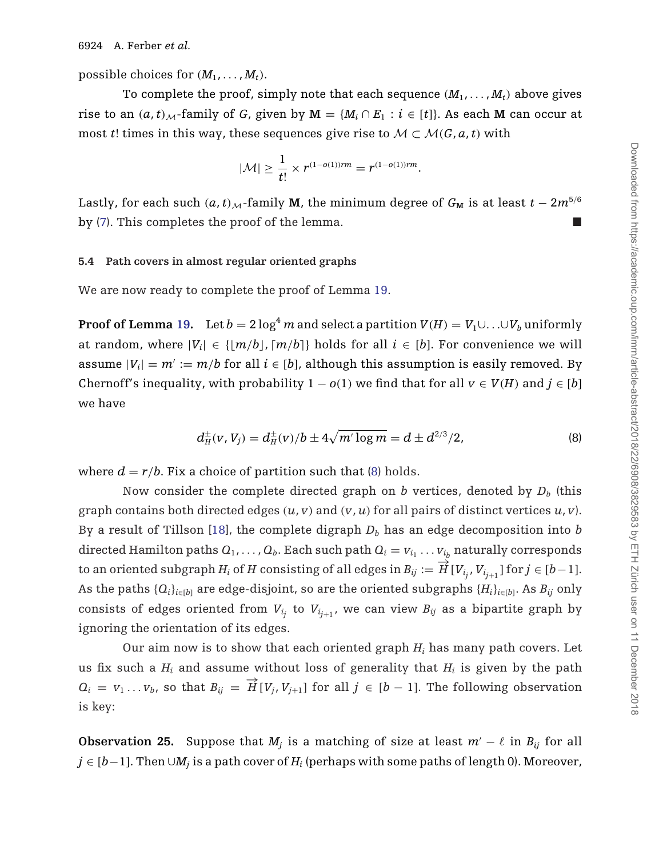<span id="page-16-0"></span>possible choices for  $(M_1, \ldots, M_t)$ .

To complete the proof, simply note that each sequence  $(M_1, \ldots, M_t)$  above gives rise to an  $(a, t)_{M}$ -family of *G*, given by  $M = \{M_i \cap E_1 : i \in [t]\}\)$ . As each M can occur at most *t*! times in this way, these sequences give rise to  $M \subset M(G, a, t)$  with

$$
|\mathcal{M}| \geq \frac{1}{t!} \times r^{(1-o(1))rm} = r^{(1-o(1))rm}.
$$

Lastly, for each such  $(a, t)$ <sub>M</sub>-family **M**, the minimum degree of  $G_M$  is at least  $t - 2m^{5/6}$ by [\(7\)](#page-15-0). This completes the proof of the lemma.

#### **5.4 Path covers in almost regular oriented graphs**

We are now ready to complete the proof of Lemma [19.](#page-12-0)

**Proof of Lemma [19.](#page-12-0)** Let  $b = 2 \log^4 m$  and select a partition  $V(H) = V_1 \cup ... \cup V_b$  uniformly at random, where  $|V_i| \in \{ |m/b|, [m/b] \}$  holds for all  $i \in [b]$ . For convenience we will assume  $|V_i| = m' := m/b$  for all  $i \in [b]$ , although this assumption is easily removed. By Chernoff's inequality, with probability  $1 - o(1)$  we find that for all  $v \in V(H)$  and  $j \in [b]$ we have

$$
d^{\pm}_H(v, V_j) = d^{\pm}_H(v)/b \pm 4\sqrt{m' \log m} = d \pm d^{2/3}/2,
$$
 (8)

where  $d = r/b$ . Fix a choice of partition such that (8) holds.

Now consider the complete directed graph on *b* vertices, denoted by  $D_b$  (this graph contains both directed edges  $(u, v)$  and  $(v, u)$  for all pairs of distinct vertices  $u, v$ ). By a result of Tillson [\[18](#page-25-0)], the complete digraph  $D<sub>b</sub>$  has an edge decomposition into  $b$ directed Hamilton paths  $Q_1, \ldots, Q_b$ . Each such path  $Q_i = v_{i_1} \ldots v_{i_b}$  naturally corresponds to an oriented subgraph  $H_i$  of  $H$  consisting of all edges in  $B_{ij} := \frac{1}{H} [V_{i_j}, V_{i_{j+1}}]$  for  $j \in [b-1]$ . As the paths  ${Q_i}_{i \in [b]}$  are edge-disjoint, so are the oriented subgraphs  ${H_i}_{i \in [b]}$ . As  $B_{ij}$  only consists of edges oriented from  $V_{i_j}$  to  $V_{i_{j+1}}$ , we can view  $B_{ij}$  as a bipartite graph by ignoring the orientation of its edges.

Our aim now is to show that each oriented graph *Hi* has many path covers. Let us fix such a  $H_i$  and assume without loss of generality that  $H_i$  is given by the path  $Q_i = v_1 \ldots v_b$ , so that  $B_{ij} = \overrightarrow{H} [V_i, V_{j+1}]$  for all  $j \in [b-1]$ . The following observation is key:

**Observation 25.** Suppose that  $M_i$  is a matching of size at least  $m' - \ell$  in  $B_{ij}$  for all *j* ∈ [*b*−1]. Then ∪*M<sub>i</sub>* is a path cover of *H<sub>i</sub>* (perhaps with some paths of length 0). Moreover,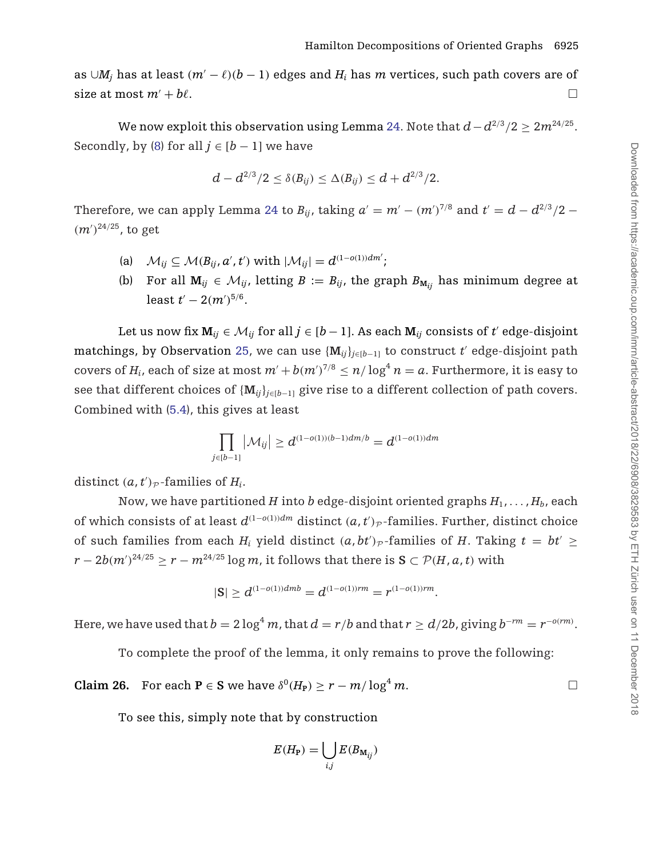as  $∪M_i$  has at least  $(m' - \ell)(b - 1)$  edges and  $H_i$  has *m* vertices, such path covers are of size at most  $m' + b\ell$ .

We now exploit this observation using Lemma [24.](#page-15-0) Note that  $d - d^{2/3}/2 \geq 2m^{24/25}$ . Secondly, by [\(8\)](#page-16-0) for all  $j \in [b-1]$  we have

$$
d - d^{2/3}/2 \leq \delta(B_{ij}) \leq \Delta(B_{ij}) \leq d + d^{2/3}/2.
$$

Therefore, we can apply Lemma [24](#page-15-0) to  $B_{ij}$ , taking  $a'=m'-(m')^{7/8}$  and  $t'=d-d^{2/3}/2-d^{1/8}$  $(m')^{24/25}$ , to get

- (a)  $\mathcal{M}_{ij} \subseteq \mathcal{M}(B_{ij}, a', t')$  with  $|\mathcal{M}_{ij}| = d^{(1-o(1))dm'};$
- (b) For all  $M_{ij} \in \mathcal{M}_{ij}$ , letting  $B := B_{ij}$ , the graph  $B_{M_{ij}}$  has minimum degree at least  $t' - 2(m')^{5/6}$ .

Let us now fix  $M_{ii} \in M_{ii}$  for all  $j \in [b-1]$ . As each  $M_{ii}$  consists of *t'* edge-disjoint matchings, by Observation [25,](#page-16-0) we can use  ${M_{ij}}_{i\in [b-1]}$  to construct t' edge-disjoint path covers of  $H_i$ , each of size at most  $m' + b(m')^{7/8} \le n/\log^4 n = a$ . Furthermore, it is easy to see that different choices of  ${M_{ij}}_{i\in[b-1]}$  give rise to a different collection of path covers. Combined with [\(5.4\)](#page-16-0), this gives at least

$$
\prod_{j\in[b-1]}|\mathcal{M}_{ij}|\geq d^{(1-o(1))(b-1)dm/b}=d^{(1-o(1))dm}
$$

distinct  $(a, t')_{\mathcal{P}}$ -families of  $H_i$ .

Now, we have partitioned *H* into *b* edge-disjoint oriented graphs  $H_1, \ldots, H_b$ , each of which consists of at least  $d^{(1-o(1))dm}$  distinct  $(a, t')_p$ -families. Further, distinct choice of such families from each  $H_i$  yield distinct  $(a, bt')_{\mathcal{P}}$ -families of  $H$ . Taking  $t = bt' \geq$ *r* − 2*b*(*m*<sup> $')$ 24/25 ≥ *r* − *m*<sup>24/25</sup> log *m*, it follows that there is **S** ⊂  $P(H, a, t)$  with</sup>

$$
|S| \ge d^{(1-o(1))dmb} = d^{(1-o(1))rm} = r^{(1-o(1))rm}.
$$

Here, we have used that  $b = 2 \log^4 m$ , that  $d = r/b$  and that  $r \ge d/2b$ , giving  $b^{-rm} = r^{-o(rm)}$ .

To complete the proof of the lemma, it only remains to prove the following:

**Claim 26.** For each **P** ∈ **S** we have  $\delta^{0}(H_{\text{P}}) \ge r - m/\log^{4} m$ .

To see this, simply note that by construction

$$
E(H_{\mathbf{P}}) = \bigcup_{i,j} E(B_{\mathbf{M}_{ij}})
$$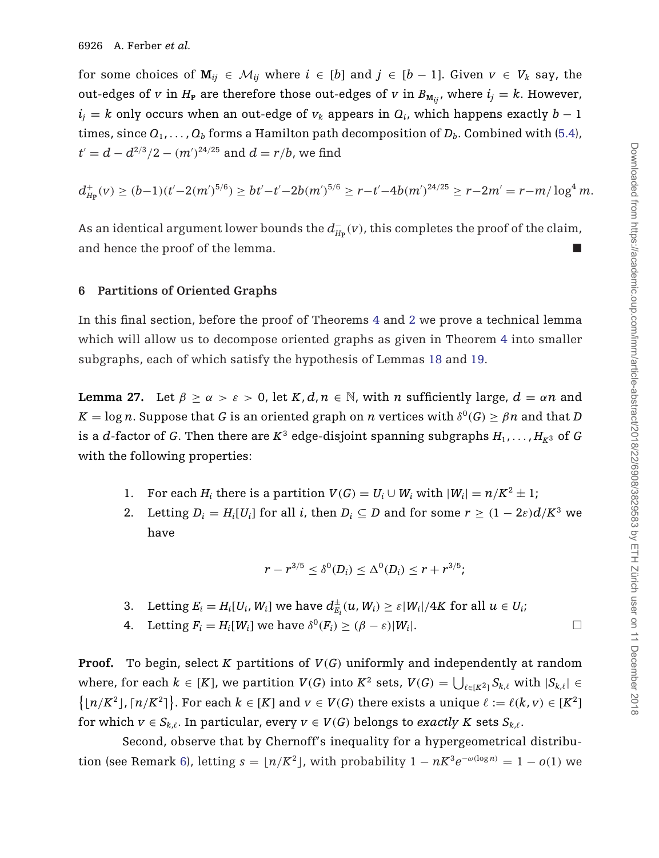<span id="page-18-0"></span>for some choices of  $M_{ij} \in \mathcal{M}_{ij}$  where  $i \in [b]$  and  $j \in [b-1]$ . Given  $v \in V_k$  say, the out-edges of *v* in  $H_P$  are therefore those out-edges of *v* in  $B_{M_{ij}}$ , where  $i_j = k$ . However,  $i_j = k$  only occurs when an out-edge of  $v_k$  appears in  $Q_i$ , which happens exactly  $b - 1$ times, since  $Q_1, \ldots, Q_b$  forms a Hamilton path decomposition of  $D_b$ . Combined with [\(5.4\)](#page-16-0),  $t^\prime = d - d^{2/3}/2 - (m^\prime)^{24/25}$  and  $d = r/b$ , we find

$$
d_{H_P}^+(v) \geq (b-1)(t'-2(m')^{5/6}) \geq bt'-t'-2b(m')^{5/6} \geq r-t'-4b(m')^{24/25} \geq r-2m'=r-m/\log^4 m.
$$

As an identical argument lower bounds the  $d_{H_{\bf P}}^-(v)$ , this completes the proof of the claim, and hence the proof of the lemma.

## **6 Partitions of Oriented Graphs**

In this final section, before the proof of Theorems [4](#page-3-0) and [2](#page-2-0) we prove a technical lemma which will allow us to decompose oriented graphs as given in Theorem [4](#page-3-0) into smaller subgraphs, each of which satisfy the hypothesis of Lemmas [18](#page-11-0) and [19.](#page-12-0)

**Lemma 27.** Let  $\beta \ge \alpha > \epsilon > 0$ , let  $K, d, n \in \mathbb{N}$ , with *n* sufficiently large,  $d = \alpha n$  and  $K = \log n$ . Suppose that *G* is an oriented graph on *n* vertices with  $\delta^{0}(G) \geq \beta n$  and that *D* is a *d*-factor of *G*. Then there are  $K^3$  edge-disjoint spanning subgraphs  $H_1, \ldots, H_{K^3}$  of *G* with the following properties:

- 1. For each  $H_i$  there is a partition  $V(G) = U_i \cup W_i$  with  $|W_i| = n/K^2 \pm 1$ ;
- 2. Letting  $D_i = H_i[U_i]$  for all *i*, then  $D_i \subseteq D$  and for some  $r \geq (1 2\varepsilon)d/K^3$  we have

$$
r - r^{3/5} \le \delta^0(D_i) \le \Delta^0(D_i) \le r + r^{3/5};
$$

- 3. Letting  $E_i = H_i[U_i, W_i]$  we have  $d_{E_i}^{\pm}(u, W_i) \ge \varepsilon |W_i|/4K$  for all  $u \in U_i$ ;
- 4. Letting  $F_i = H_i[W_i]$  we have  $\delta^0(F_i) \geq (\beta \varepsilon)|W_i|$ .

**Proof.** To begin, select *K* partitions of  $V(G)$  uniformly and independently at random where, for each  $k\in[K]$ , we partition  $V(G)$  into  $K^2$  sets,  $V(G)=\bigcup_{\ell\in[K^2]}S_{k,\ell}$  with  $|S_{k,\ell}|\in K$  $\left\{ \lfloor n/K^2 \rfloor, \lceil n/K^2 \rceil \right\}$ . For each  $k \in [K]$  and  $v \in V(G)$  there exists a unique  $\ell := \ell(k, v) \in [K^2]$ for which  $v \in S_{k,\ell}$ . In particular, every  $v \in V(G)$  belongs to *exactly K* sets  $S_{k,\ell}$ .

Second, observe that by Chernoff's inequality for a hypergeometrical distribu-tion (see Remark [6\)](#page-6-0), letting  $s = \lfloor n/K^2 \rfloor$ , with probability  $1 - nK^3e^{-\omega(\log n)} = 1 - o(1)$  we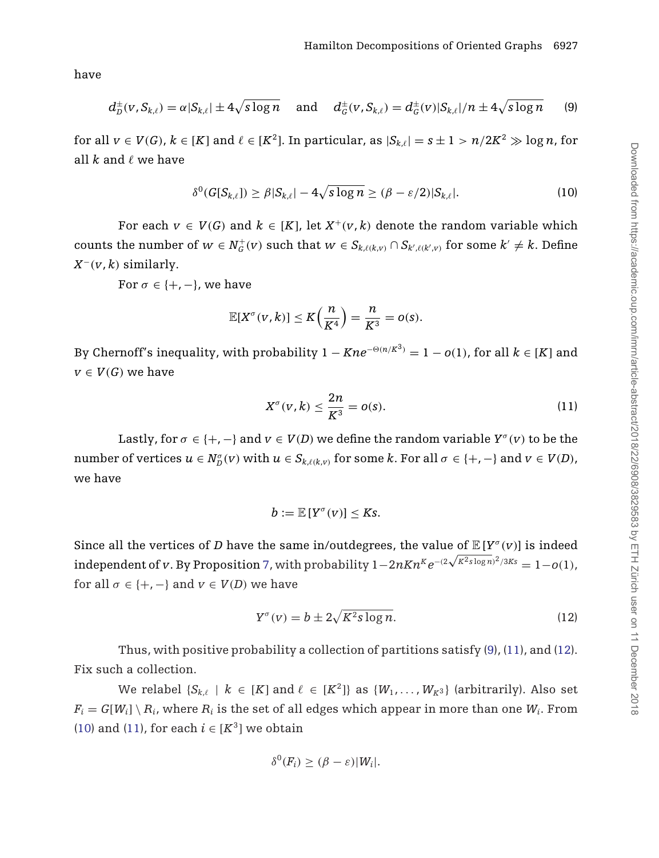<span id="page-19-0"></span>have

$$
d_D^{\pm}(v, S_{k,\ell}) = \alpha |S_{k,\ell}| \pm 4\sqrt{s \log n} \quad \text{ and } \quad d_G^{\pm}(v, S_{k,\ell}) = d_G^{\pm}(v) |S_{k,\ell}| / n \pm 4\sqrt{s \log n} \tag{9}
$$

for all  $v \in V(G)$ ,  $k \in [K]$  and  $\ell \in [K^2]$ . In particular, as  $|S_{k\ell}| = s \pm 1 > n/2K^2 \gg \log n$ , for all  $k$  and  $\ell$  we have

$$
\delta^{0}(G[S_{k,\ell}]) \geq \beta|S_{k,\ell}| - 4\sqrt{s\log n} \geq (\beta - \varepsilon/2)|S_{k,\ell}|. \tag{10}
$$

For each  $v \in V(G)$  and  $k \in [K]$ , let  $X^+(v, k)$  denote the random variable which counts the number of  $w \in N_G^+(v)$  such that  $w \in S_{k,\ell(k,v)} \cap S_{k',\ell(k',v)}$  for some  $k' \neq k$ . Define  $X^-(v, k)$  similarly.

For  $\sigma \in \{+, -\}$ , we have

$$
\mathbb{E}[X^{\sigma}(v,k)] \leq K\Big(\frac{n}{K^4}\Big) = \frac{n}{K^3} = o(s).
$$

By Chernoff's inequality, with probability  $1 - Kne^{-\Theta(n/K^3)} = 1 - o(1)$ , for all  $k \in [K]$  and  $v \in V(G)$  we have

$$
X^{\sigma}(v,k) \leq \frac{2n}{K^3} = o(s). \tag{11}
$$

Lastly, for  $\sigma \in \{+, -\}$  and  $v \in V(D)$  we define the random variable  $Y^{\sigma}(v)$  to be the  $\text{number of vertices } u \in N_D^{\sigma}(v) \text{ with } u \in S_{k,\ell(k,v)} \text{ for some } k \text{. For all } \sigma \in \{+, -\} \text{ and } v \in V(D),$ we have

$$
b:=\mathbb{E}[Y^{\sigma}(v)]\leq Ks.
$$

Since all the vertices of *D* have the same in/outdegrees, the value of  $\mathbb{E}[Y^{\sigma}(v)]$  is indeed  $\text{independent of } v.$  By Proposition [7,](#page-6-0) with probability  $1 - 2n K n^{K} e^{-(2\sqrt{K^{2}}\text{s}\log n)^{2}/3K\text{s}} = 1 - o(1),$ for all  $\sigma \in \{+, -\}$  and  $v \in V(D)$  we have

$$
Y^{\sigma}(v) = b \pm 2\sqrt{K^2 s \log n}.
$$
 (12)

Thus, with positive probability a collection of partitions satisfy (9), (11), and (12). Fix such a collection.

We relabel  $\{S_{k,\ell} \mid k \in [K] \text{ and } \ell \in [K^2] \}$  as  $\{W_1, \ldots, W_{K^3}\}$  (arbitrarily). Also set  $F_i = G[W_i] \setminus R_i$ , where  $R_i$  is the set of all edges which appear in more than one  $W_i$ . From (10) and (11), for each  $i \in [K^3]$  we obtain

$$
\delta^0(F_i) \geq (\beta - \varepsilon)|W_i|.
$$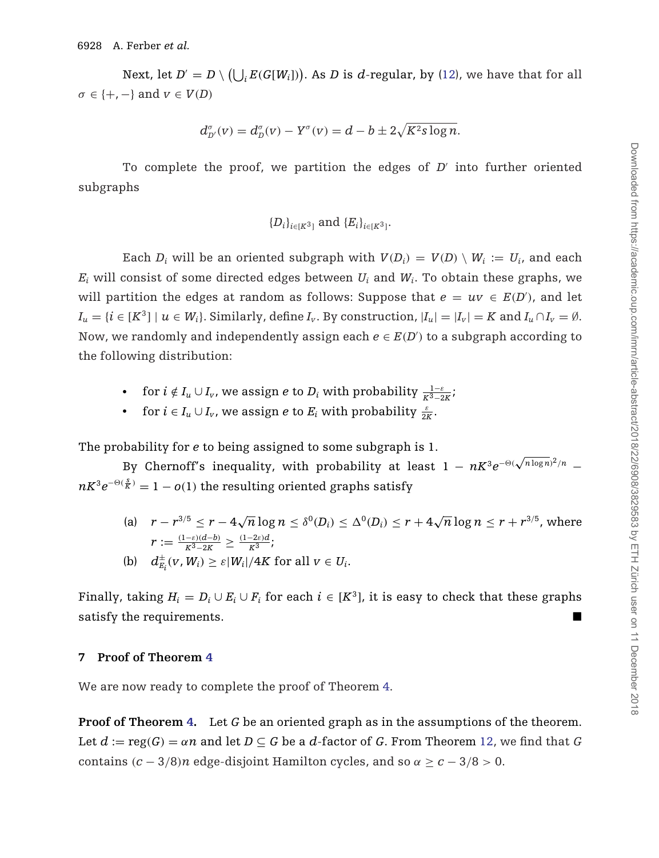Next, let  $D' = D \setminus \left( \bigcup_i E(G[W_i]) \right)$ . As  $D$  is  $d$ -regular, by [\(12\)](#page-19-0), we have that for all  $\sigma \in \{+, -\}$  and  $v \in V(D)$ 

$$
d_{D'}^{\sigma}(v) = d_D^{\sigma}(v) - Y^{\sigma}(v) = d - b \pm 2\sqrt{K^2 s \log n}.
$$

To complete the proof, we partition the edges of  $D<sup>'</sup>$  into further oriented subgraphs

$$
{D_i}_{i \in [K^3]}
$$
 and  ${E_i}_{i \in [K^3]}$ .

Each *D<sub>i</sub>* will be an oriented subgraph with  $V(D_i) = V(D) \setminus W_i := U_i$ , and each  $E_i$  will consist of some directed edges between  $U_i$  and  $W_i$ . To obtain these graphs, we will partition the edges at random as follows: Suppose that  $e = uv \in E(D')$ , and let  $I_u = \{i \in [K^3] \mid u \in W_i\}$ . Similarly, define  $I_v$ . By construction,  $|I_u| = |I_v| = K$  and  $I_u \cap I_v = \emptyset$ . Now, we randomly and independently assign each  $e \in E(D')$  to a subgraph according to the following distribution:

- for  $i \notin I_u \cup I_v$ , we assign *e* to  $D_i$  with probability  $\frac{1-\varepsilon}{K^3-2K}$ ;
- for  $i \in I_u \cup I_v$ , we assign *e* to  $E_i$  with probability  $\frac{\varepsilon}{2K}$ .

The probability for *e* to being assigned to some subgraph is 1.

By Chernoff's inequality, with probability at least  $1 - nK^3e^{-\Theta(\sqrt{n\log n})^2/n}$  −  $nK^3e^{-\Theta(\frac{s}{K})}=1-o(1)$  the resulting oriented graphs satisfy

(a)  $r - r^{3/5} \le r - 4\sqrt{n}\log n \le \delta^0(D_i) \le \Delta^0(D_i) \le r + 4\sqrt{n}\log n \le r + r^{3/5}$ , where  $r := \frac{(1-\varepsilon)(d-b)}{K^3 - 2K} \geq \frac{(1-2\varepsilon)d}{K^3}$ ; (b)  $d_{E_i}^{\pm}(v, W_i) \ge \varepsilon |W_i| / 4K$  for all  $v \in U_i$ .

Finally, taking  $H_i = D_i \cup E_i \cup F_j$  for each  $i \in [K^3]$ , it is easy to check that these graphs satisfy the requirements.

## **7 Proof of Theorem [4](#page-3-0)**

We are now ready to complete the proof of Theorem [4.](#page-3-0)

**Proof of Theorem [4.](#page-3-0)** Let *G* be an oriented graph as in the assumptions of the theorem. Let  $d := \text{reg}(G) = \alpha n$  and let  $D \subseteq G$  be a d-factor of G. From Theorem [12,](#page-8-0) we find that G contains  $(c - 3/8)n$  edge-disjoint Hamilton cycles, and so  $\alpha \geq c - 3/8 > 0$ .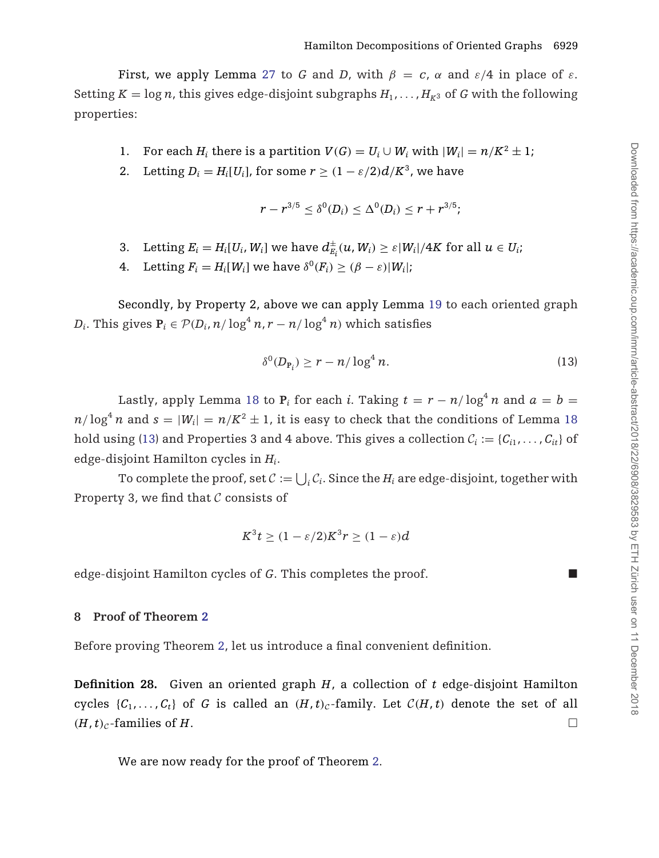First, we apply Lemma [27](#page-18-0) to *G* and *D*, with  $\beta = c$ ,  $\alpha$  and  $\varepsilon/4$  in place of  $\varepsilon$ . Setting  $K = \log n$ , this gives edge-disjoint subgraphs  $H_1, \ldots, H_{K^3}$  of *G* with the following properties:

- 1. For each *H<sub>i</sub>* there is a partition  $V(G) = U_i \cup W_i$  with  $|W_i| = n/K^2 \pm 1$ ;
- 2. Letting  $D_i = H_i[U_i]$ , for some  $r \ge (1 \varepsilon/2)d/K^3$ , we have

$$
r - r^{3/5} \le \delta^{0}(D_i) \le \Delta^{0}(D_i) \le r + r^{3/5};
$$

- 3. Letting  $E_i = H_i[U_i, W_i]$  we have  $d_{E_i}^{\pm}(u, W_i) \ge \varepsilon |W_i|/4K$  for all  $u \in U_i$ ;
- 4. Letting  $F_i = H_i[W_i]$  we have  $\delta^0(F_i) > (\beta \varepsilon)|W_i|$ ;

Secondly, by Property 2, above we can apply Lemma [19](#page-12-0) to each oriented graph *D<sub>i</sub>*. This gives  $P_i \in \mathcal{P}(D_i, n/\log^4 n, r - n/\log^4 n)$  which satisfies

$$
\delta^0(D_{\mathbf{P}_i}) \ge r - n/\log^4 n. \tag{13}
$$

Lastly, apply Lemma [18](#page-11-0) to  $P_i$  for each *i*. Taking  $t = r - n/\log^4 n$  and  $a = b =$  $n/\log^4 n$  and  $s = |W_i| = n/K^2 \pm 1$ , it is easy to check that the conditions of Lemma [18](#page-11-0) hold using (13) and Properties 3 and 4 above. This gives a collection  $C_i := \{C_{i1}, \ldots, C_{it}\}\$  of edge-disjoint Hamilton cycles in *Hi*.

To complete the proof, set  $\mathcal{C} := \bigcup_i \mathcal{C}_i$ . Since the  $H_i$  are edge-disjoint, together with Property 3, we find that  $C$  consists of

$$
K^3t \ge (1 - \varepsilon/2)K^3r \ge (1 - \varepsilon)d
$$

edge-disjoint Hamilton cycles of *G*. This completes the proof.

## **8 Proof of Theorem [2](#page-2-0)**

Before proving Theorem [2,](#page-2-0) let us introduce a final convenient definition.

**Definition 28.** Given an oriented graph *H*, a collection of *t* edge-disjoint Hamilton cycles  $\{C_1, \ldots, C_t\}$  of *G* is called an  $(H, t)_{c}$ -family. Let  $C(H, t)$  denote the set of all  $(H, t)_c$ -families of *H*.

We are now ready for the proof of Theorem [2.](#page-2-0)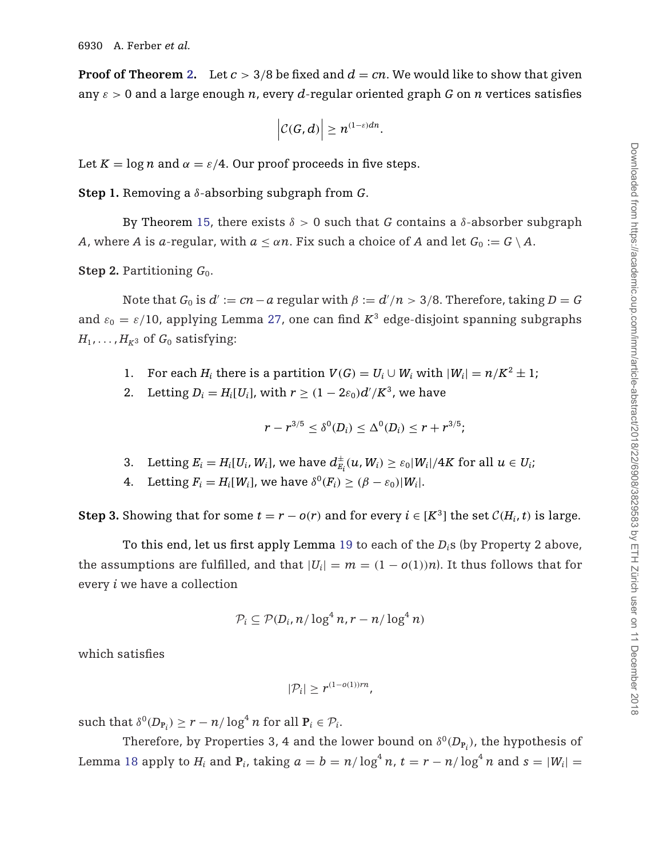**Proof of Theorem [2.](#page-2-0)** Let  $c > 3/8$  be fixed and  $d = cn$ . We would like to show that given any  $\varepsilon > 0$  and a large enough *n*, every *d*-regular oriented graph *G* on *n* vertices satisfies

$$
\left|\mathcal{C}(G,d)\right|\geq n^{(1-\varepsilon)dn}.
$$

Let  $K = \log n$  and  $\alpha = \varepsilon/4$ . Our proof proceeds in five steps.

**Step 1.** Removing a δ-absorbing subgraph from *G*.

By Theorem [15,](#page-8-0) there exists  $\delta > 0$  such that *G* contains a  $\delta$ -absorber subgraph *A*, where *A* is *a*-regular, with  $a \leq a_n$ . Fix such a choice of *A* and let  $G_0 := G \setminus A$ .

**Step 2.** Partitioning  $G_0$ .

Note that  $G_0$  is  $d' := cn - a$  regular with  $\beta := d'/n > 3/8$ . Therefore, taking  $D = G$ and  $\varepsilon_0 = \varepsilon/10$ , applying Lemma [27,](#page-18-0) one can find  $K^3$  edge-disjoint spanning subgraphs  $H_1, \ldots, H_{K^3}$  of  $G_0$  satisfying:

- 1. For each *H<sub>i</sub>* there is a partition  $V(G) = U_i \cup W_i$  with  $|W_i| = n/K^2 \pm 1$ ;
- 2. Letting  $D_i = H_i[U_i]$ , with  $r \geq (1 2\varepsilon_0)d'/K^3$ , we have

$$
r - r^{3/5} \le \delta^{0}(D_i) \le \Delta^{0}(D_i) \le r + r^{3/5};
$$

- 3. Letting  $E_i = H_i[U_i, W_i]$ , we have  $d_{E_i}^{\pm}(u, W_i) \geq \varepsilon_0 |W_i|/4K$  for all  $u \in U_i$ ;
- 4. Letting  $F_i = H_i[W_i]$ , we have  $\delta^0(F_i) \geq (\beta \varepsilon_0)|W_i|$ .

**Step 3.** Showing that for some  $t = r - o(r)$  and for every  $i \in [K^3]$  the set  $\mathcal{C}(H_i, t)$  is large.

To this end, let us first apply Lemma [19](#page-12-0) to each of the *Di*s (by Property 2 above, the assumptions are fulfilled, and that  $|U_i| = m = (1 - o(1))n$ . It thus follows that for every *i* we have a collection

$$
\mathcal{P}_i \subseteq \mathcal{P}(D_i, n/\log^4 n, r - n/\log^4 n)
$$

which satisfies

$$
|\mathcal{P}_i| \geq r^{(1-o(1))rn},
$$

 $\text{such that } \delta^0(D_{\mathbf{P}_i}) \ge r - n/\log^4 n \text{ for all } \mathbf{P}_i \in \mathcal{P}_i.$ 

Therefore, by Properties 3, 4 and the lower bound on  $\delta^{0}(D_{\text{P}_i})$ , the hypothesis of Lemma [18](#page-11-0) apply to  $H_i$  and  $P_i$ , taking  $a = b = n/\log^4 n$ ,  $t = r - n/\log^4 n$  and  $s = |W_i|$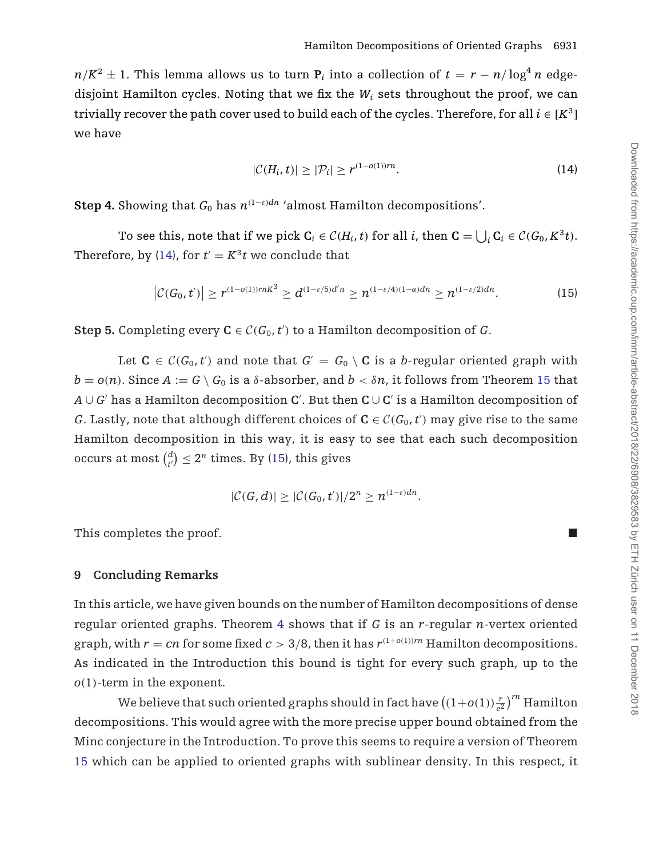$n/K^2 \pm 1$ . This lemma allows us to turn **P**<sub>*i*</sub> into a collection of  $t = r - n/\log^4 n$  edgedisjoint Hamilton cycles. Noting that we fix the  $W_i$  sets throughout the proof, we can trivially recover the path cover used to build each of the cycles. Therefore, for all  $i \in [K^3]$ we have

$$
|\mathcal{C}(H_i,t)| \ge |\mathcal{P}_i| \ge r^{(1-o(1))rn}.
$$
\n(14)

**Step 4.** Showing that  $G_0$  has  $n^{(1-\epsilon)dn}$  'almost Hamilton decompositions'.

To see this, note that if we pick  $C_i \in C(H_i, t)$  for all *i*, then  $C = \bigcup_i C_i \in C(G_0, K^3 t)$ . Therefore, by (14), for  $t' = K^3 t$  we conclude that

$$
\left|\mathcal{C}(G_0,t')\right| \geq r^{(1-o(1))rnK^3} \geq d^{(1-\varepsilon/5)d'n} \geq n^{(1-\varepsilon/4)(1-\alpha)dn} \geq n^{(1-\varepsilon/2)dn}.\tag{15}
$$

**Step 5.** Completing every  $C \in \mathcal{C}(G_0, t')$  to a Hamilton decomposition of *G*.

Let  $C \in \mathcal{C}(G_0, t')$  and note that  $G' = G_0 \setminus C$  is a *b*-regular oriented graph with  $b = o(n)$ . Since  $A := G \setminus G_0$  is a  $\delta$ -absorber, and  $b < \delta n$ , it follows from Theorem [15](#page-8-0) that *A* ∪ *G* has a Hamilton decomposition **C** . But then **C** ∪ **C** is a Hamilton decomposition of *G*. Lastly, note that although different choices of  $C \in C(G_0, t')$  may give rise to the same Hamilton decomposition in this way, it is easy to see that each such decomposition occurs at most  $\binom{d}{t'} \leq 2^n$  times. By (15), this gives

$$
|\mathcal{C}(G,d)| \geq |\mathcal{C}(G_0,t')|/2^n \geq n^{(1-\varepsilon)dn}.
$$

This completes the proof.

## **9 Concluding Remarks**

In this article, we have given bounds on the number of Hamilton decompositions of dense regular oriented graphs. Theorem [4](#page-3-0) shows that if *G* is an *r*-regular *n*-vertex oriented graph, with  $r = cn$  for some fixed  $c > 3/8$ , then it has  $r^{(1+o(1))rn}$  Hamilton decompositions. As indicated in the Introduction this bound is tight for every such graph, up to the *o*(1)-term in the exponent.

We believe that such oriented graphs should in fact have  $\left((1+o(1))\frac{r}{e^2}\right)^{rn}$  Hamilton decompositions. This would agree with the more precise upper bound obtained from the Minc conjecture in the Introduction. To prove this seems to require a version of Theorem [15](#page-8-0) which can be applied to oriented graphs with sublinear density. In this respect, it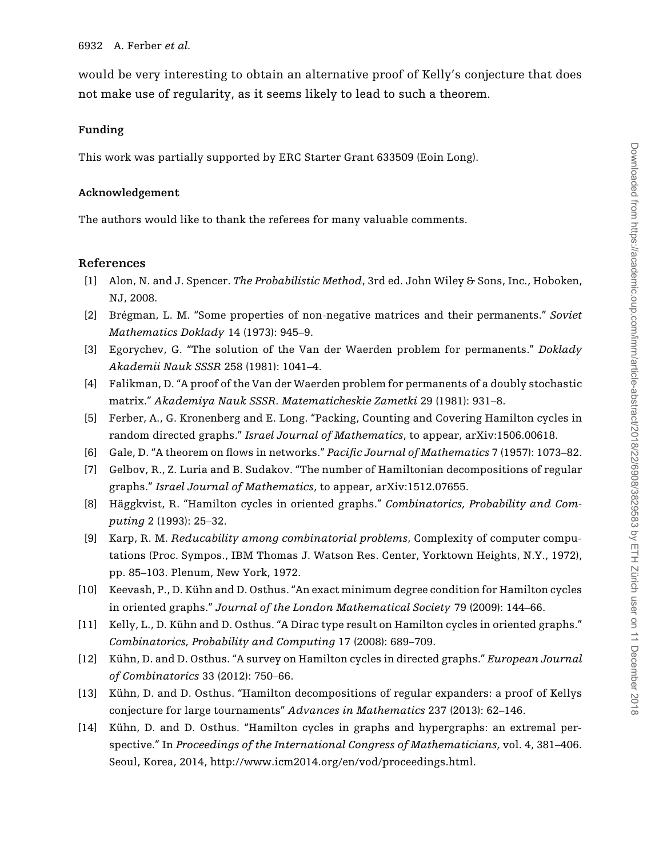<span id="page-24-0"></span>would be very interesting to obtain an alternative proof of Kelly's conjecture that does not make use of regularity, as it seems likely to lead to such a theorem.

#### **Funding**

This work was partially supported by ERC Starter Grant 633509 (Eoin Long).

#### **Acknowledgement**

The authors would like to thank the referees for many valuable comments.

### **References**

- [1] Alon, N. and J. Spencer. *The Probabilistic Method*, 3rd ed. John Wiley & Sons, Inc., Hoboken, NJ, 2008.
- [2] Brégman, L. M. "Some properties of non-negative matrices and their permanents." *Soviet Mathematics Doklady* 14 (1973): 945–9.
- [3] Egorychev, G. "The solution of the Van der Waerden problem for permanents." *Doklady Akademii Nauk SSSR* 258 (1981): 1041–4.
- [4] Falikman, D. "A proof of the Van der Waerden problem for permanents of a doubly stochastic matrix." *Akademiya Nauk SSSR. Matematicheskie Zametki* 29 (1981): 931–8.
- [5] Ferber, A., G. Kronenberg and E. Long. "Packing, Counting and Covering Hamilton cycles in random directed graphs." *Israel Journal of Mathematics*, to appear, arXiv:1506.00618.
- [6] Gale, D. "A theorem on flows in networks." *Pacific Journal of Mathematics* 7 (1957): 1073–82.
- [7] Gelbov, R., Z. Luria and B. Sudakov. "The number of Hamiltonian decompositions of regular graphs." *Israel Journal of Mathematics*, to appear, arXiv:1512.07655.
- [8] Häggkvist, R. "Hamilton cycles in oriented graphs." *Combinatorics, Probability and Computing* 2 (1993): 25–32.
- [9] Karp, R. M. *Reducability among combinatorial problems*, Complexity of computer computations (Proc. Sympos., IBM Thomas J. Watson Res. Center, Yorktown Heights, N.Y., 1972), pp. 85–103. Plenum, New York, 1972.
- [10] Keevash, P., D. Kühn and D. Osthus. "An exact minimum degree condition for Hamilton cycles in oriented graphs." *Journal of the London Mathematical Society* 79 (2009): 144–66.
- [11] Kelly, L., D. Kühn and D. Osthus. "A Dirac type result on Hamilton cycles in oriented graphs." *Combinatorics, Probability and Computing* 17 (2008): 689–709.
- [12] Kühn, D. and D. Osthus. "A survey on Hamilton cycles in directed graphs." *European Journal of Combinatorics* 33 (2012): 750–66.
- [13] Kühn, D. and D. Osthus. "Hamilton decompositions of regular expanders: a proof of Kellys conjecture for large tournaments" *Advances in Mathematics* 237 (2013): 62–146.
- [14] Kühn, D. and D. Osthus. "Hamilton cycles in graphs and hypergraphs: an extremal perspective." In *Proceedings of the International Congress of Mathematicians,* vol. 4, 381–406. Seoul, Korea, 2014, http://www.icm2014.org/en/vod/proceedings.html.